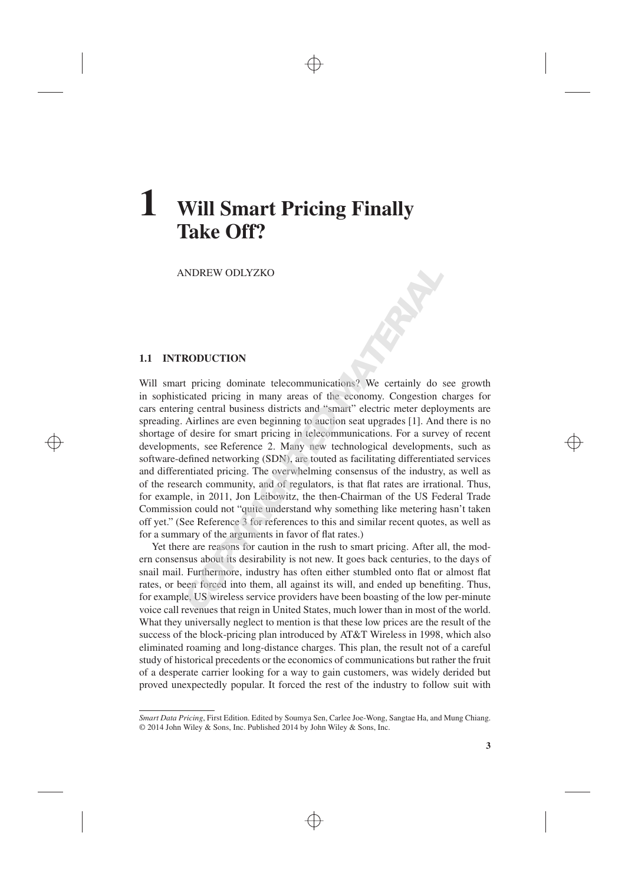# **1 Will Smart Pricing Finally Take Off?**

ANDREW ODLYZKO

# **1.1 INTRODUCTION**

Will smart pricing dominate telecommunications? We certainly do see growth in sophisticated pricing in many areas of the economy. Congestion charges for cars entering central business districts and "smart" electric meter deployments are spreading. Airlines are even beginning to auction seat upgrades [1]. And there is no shortage of desire for smart pricing in telecommunications. For a survey of recent developments, see Reference 2. Many new technological developments, such as software-defined networking (SDN), are touted as facilitating differentiated services and differentiated pricing. The overwhelming consensus of the industry, as well as of the research community, and of regulators, is that flat rates are irrational. Thus, for example, in 2011, Jon Leibowitz, the then-Chairman of the US Federal Trade Commission could not "quite understand why something like metering hasn't taken off yet." (See Reference 3 for references to this and similar recent quotes, as well as for a summary of the arguments in favor of flat rates.) **THERE ASSET ASSET ASSET AS THE CONDUCTION**<br> **COPYRIGHTED**<br> **COPYRIGHTED**<br> **COPYRIGHTED**<br> **COPYRIGHTED**<br> **COPYRIGHTED**<br> **COPYRIGHTED**<br> **COPY ATTERIBS** are even beginning to autorio set upgrades [1]. And<br> *Conditions are ev* 

Yet there are reasons for caution in the rush to smart pricing. After all, the modern consensus about its desirability is not new. It goes back centuries, to the days of snail mail. Furthermore, industry has often either stumbled onto flat or almost flat rates, or been forced into them, all against its will, and ended up benefiting. Thus, for example, US wireless service providers have been boasting of the low per-minute voice call revenues that reign in United States, much lower than in most of the world. What they universally neglect to mention is that these low prices are the result of the success of the block-pricing plan introduced by AT&T Wireless in 1998, which also eliminated roaming and long-distance charges. This plan, the result not of a careful study of historical precedents or the economics of communications but rather the fruit of a desperate carrier looking for a way to gain customers, was widely derided but proved unexpectedly popular. It forced the rest of the industry to follow suit with

*Smart Data Pricing*, First Edition. Edited by Soumya Sen, Carlee Joe-Wong, Sangtae Ha, and Mung Chiang. © 2014 John Wiley & Sons, Inc. Published 2014 by John Wiley & Sons, Inc.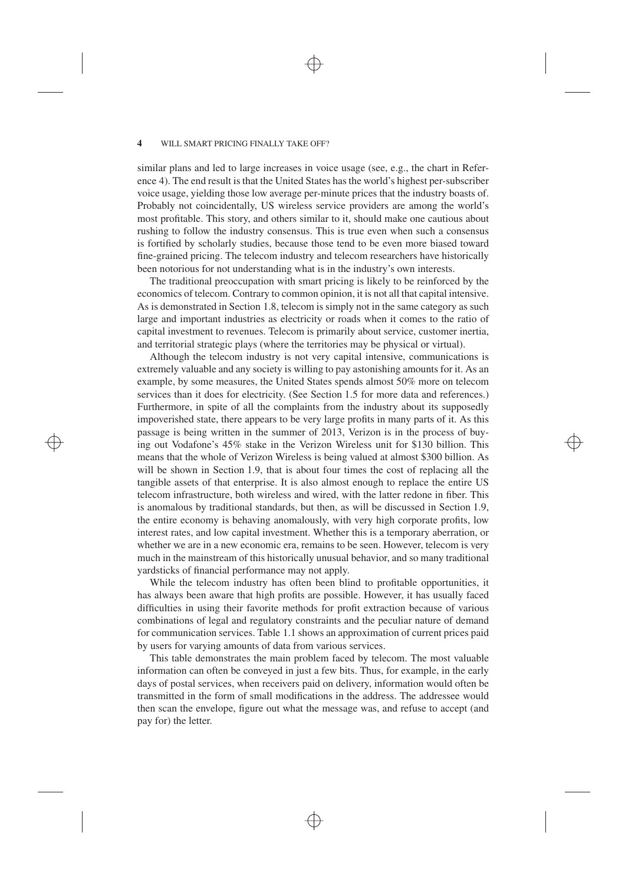similar plans and led to large increases in voice usage (see, e.g., the chart in Reference 4). The end result is that the United States has the world's highest per-subscriber voice usage, yielding those low average per-minute prices that the industry boasts of. Probably not coincidentally, US wireless service providers are among the world's most profitable. This story, and others similar to it, should make one cautious about rushing to follow the industry consensus. This is true even when such a consensus is fortified by scholarly studies, because those tend to be even more biased toward fine-grained pricing. The telecom industry and telecom researchers have historically been notorious for not understanding what is in the industry's own interests.

The traditional preoccupation with smart pricing is likely to be reinforced by the economics of telecom. Contrary to common opinion, it is not all that capital intensive. As is demonstrated in Section 1.8, telecom is simply not in the same category as such large and important industries as electricity or roads when it comes to the ratio of capital investment to revenues. Telecom is primarily about service, customer inertia, and territorial strategic plays (where the territories may be physical or virtual).

Although the telecom industry is not very capital intensive, communications is extremely valuable and any society is willing to pay astonishing amounts for it. As an example, by some measures, the United States spends almost 50% more on telecom services than it does for electricity. (See Section 1.5 for more data and references.) Furthermore, in spite of all the complaints from the industry about its supposedly impoverished state, there appears to be very large profits in many parts of it. As this passage is being written in the summer of 2013, Verizon is in the process of buying out Vodafone's 45% stake in the Verizon Wireless unit for \$130 billion. This means that the whole of Verizon Wireless is being valued at almost \$300 billion. As will be shown in Section 1.9, that is about four times the cost of replacing all the tangible assets of that enterprise. It is also almost enough to replace the entire US telecom infrastructure, both wireless and wired, with the latter redone in fiber. This is anomalous by traditional standards, but then, as will be discussed in Section 1.9, the entire economy is behaving anomalously, with very high corporate profits, low interest rates, and low capital investment. Whether this is a temporary aberration, or whether we are in a new economic era, remains to be seen. However, telecom is very much in the mainstream of this historically unusual behavior, and so many traditional yardsticks of financial performance may not apply.

While the telecom industry has often been blind to profitable opportunities, it has always been aware that high profits are possible. However, it has usually faced difficulties in using their favorite methods for profit extraction because of various combinations of legal and regulatory constraints and the peculiar nature of demand for communication services. Table 1.1 shows an approximation of current prices paid by users for varying amounts of data from various services.

This table demonstrates the main problem faced by telecom. The most valuable information can often be conveyed in just a few bits. Thus, for example, in the early days of postal services, when receivers paid on delivery, information would often be transmitted in the form of small modifications in the address. The addressee would then scan the envelope, figure out what the message was, and refuse to accept (and pay for) the letter.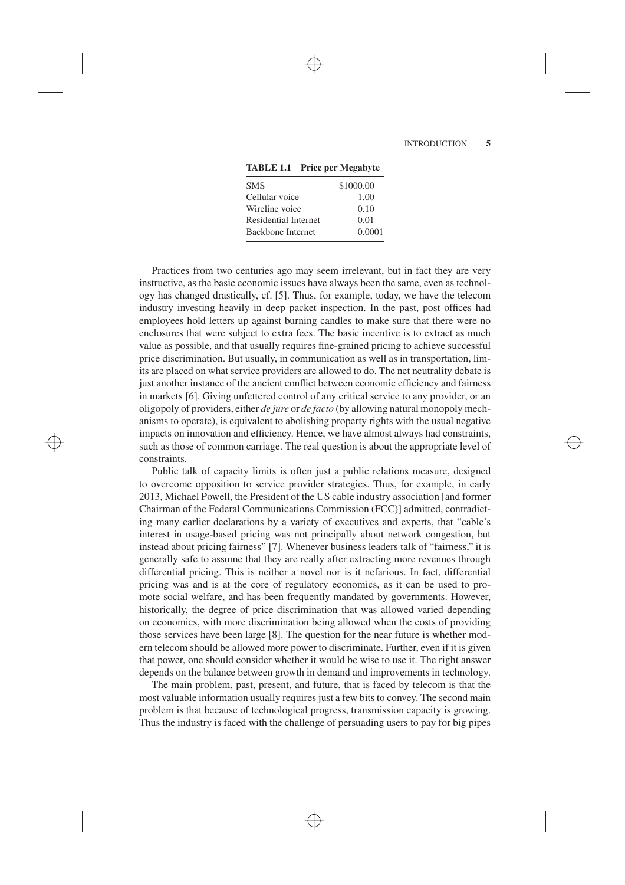#### INTRODUCTION **5**

**TABLE 1.1 Price per Megabyte**

| <b>SMS</b>           | \$1000.00 |
|----------------------|-----------|
| Cellular voice       | 1.00      |
| Wireline voice       | 0.10      |
| Residential Internet | 0.01      |
| Backbone Internet    | 0.0001    |
|                      |           |

Practices from two centuries ago may seem irrelevant, but in fact they are very instructive, as the basic economic issues have always been the same, even as technology has changed drastically, cf. [5]. Thus, for example, today, we have the telecom industry investing heavily in deep packet inspection. In the past, post offices had employees hold letters up against burning candles to make sure that there were no enclosures that were subject to extra fees. The basic incentive is to extract as much value as possible, and that usually requires fine-grained pricing to achieve successful price discrimination. But usually, in communication as well as in transportation, limits are placed on what service providers are allowed to do. The net neutrality debate is just another instance of the ancient conflict between economic efficiency and fairness in markets [6]. Giving unfettered control of any critical service to any provider, or an oligopoly of providers, either *de jure* or *de facto* (by allowing natural monopoly mechanisms to operate), is equivalent to abolishing property rights with the usual negative impacts on innovation and efficiency. Hence, we have almost always had constraints, such as those of common carriage. The real question is about the appropriate level of constraints.

Public talk of capacity limits is often just a public relations measure, designed to overcome opposition to service provider strategies. Thus, for example, in early 2013, Michael Powell, the President of the US cable industry association [and former Chairman of the Federal Communications Commission (FCC)] admitted, contradicting many earlier declarations by a variety of executives and experts, that "cable's interest in usage-based pricing was not principally about network congestion, but instead about pricing fairness" [7]. Whenever business leaders talk of "fairness," it is generally safe to assume that they are really after extracting more revenues through differential pricing. This is neither a novel nor is it nefarious. In fact, differential pricing was and is at the core of regulatory economics, as it can be used to promote social welfare, and has been frequently mandated by governments. However, historically, the degree of price discrimination that was allowed varied depending on economics, with more discrimination being allowed when the costs of providing those services have been large [8]. The question for the near future is whether modern telecom should be allowed more power to discriminate. Further, even if it is given that power, one should consider whether it would be wise to use it. The right answer depends on the balance between growth in demand and improvements in technology.

The main problem, past, present, and future, that is faced by telecom is that the most valuable information usually requires just a few bits to convey. The second main problem is that because of technological progress, transmission capacity is growing. Thus the industry is faced with the challenge of persuading users to pay for big pipes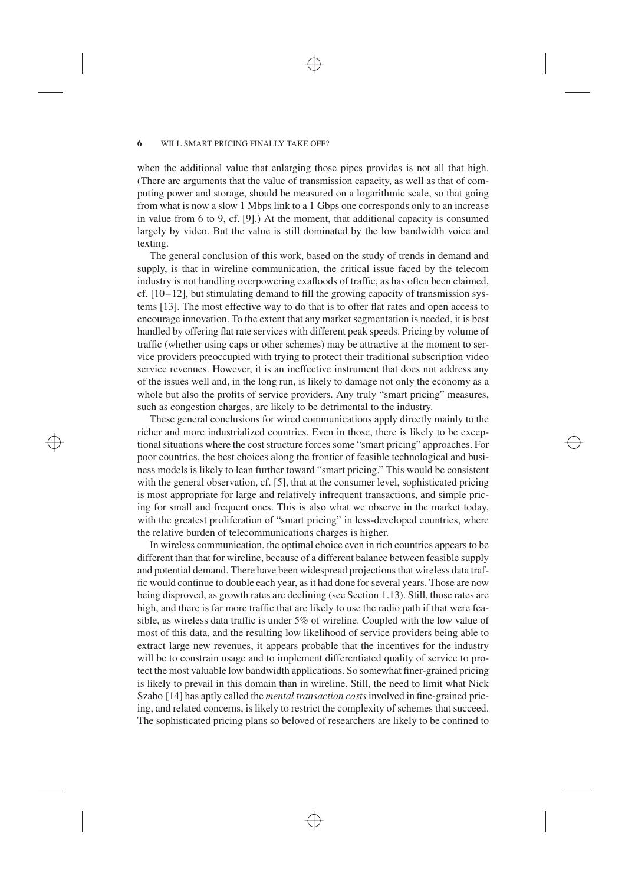when the additional value that enlarging those pipes provides is not all that high. (There are arguments that the value of transmission capacity, as well as that of computing power and storage, should be measured on a logarithmic scale, so that going from what is now a slow 1 Mbps link to a 1 Gbps one corresponds only to an increase in value from 6 to 9, cf. [9].) At the moment, that additional capacity is consumed largely by video. But the value is still dominated by the low bandwidth voice and texting.

The general conclusion of this work, based on the study of trends in demand and supply, is that in wireline communication, the critical issue faced by the telecom industry is not handling overpowering exafloods of traffic, as has often been claimed,  $cf.$  [10–12], but stimulating demand to fill the growing capacity of transmission systems [13]. The most effective way to do that is to offer flat rates and open access to encourage innovation. To the extent that any market segmentation is needed, it is best handled by offering flat rate services with different peak speeds. Pricing by volume of traffic (whether using caps or other schemes) may be attractive at the moment to service providers preoccupied with trying to protect their traditional subscription video service revenues. However, it is an ineffective instrument that does not address any of the issues well and, in the long run, is likely to damage not only the economy as a whole but also the profits of service providers. Any truly "smart pricing" measures, such as congestion charges, are likely to be detrimental to the industry.

These general conclusions for wired communications apply directly mainly to the richer and more industrialized countries. Even in those, there is likely to be exceptional situations where the cost structure forces some "smart pricing" approaches. For poor countries, the best choices along the frontier of feasible technological and business models is likely to lean further toward "smart pricing." This would be consistent with the general observation, cf. [5], that at the consumer level, sophisticated pricing is most appropriate for large and relatively infrequent transactions, and simple pricing for small and frequent ones. This is also what we observe in the market today, with the greatest proliferation of "smart pricing" in less-developed countries, where the relative burden of telecommunications charges is higher.

In wireless communication, the optimal choice even in rich countries appears to be different than that for wireline, because of a different balance between feasible supply and potential demand. There have been widespread projections that wireless data traffic would continue to double each year, as it had done for several years. Those are now being disproved, as growth rates are declining (see Section 1.13). Still, those rates are high, and there is far more traffic that are likely to use the radio path if that were feasible, as wireless data traffic is under 5% of wireline. Coupled with the low value of most of this data, and the resulting low likelihood of service providers being able to extract large new revenues, it appears probable that the incentives for the industry will be to constrain usage and to implement differentiated quality of service to protect the most valuable low bandwidth applications. So somewhat finer-grained pricing is likely to prevail in this domain than in wireline. Still, the need to limit what Nick Szabo [14] has aptly called the *mental transaction costs*involved in fine-grained pricing, and related concerns, is likely to restrict the complexity of schemes that succeed. The sophisticated pricing plans so beloved of researchers are likely to be confined to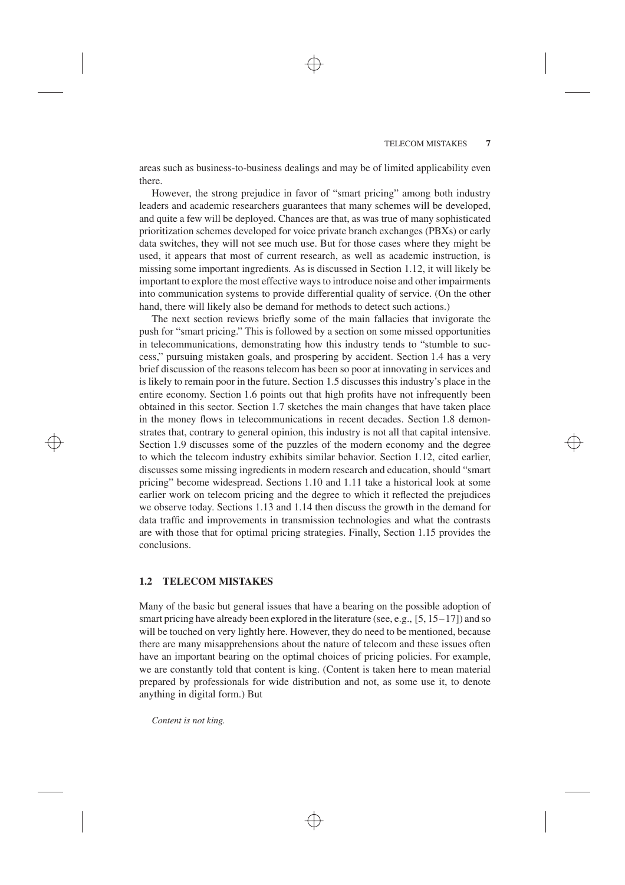#### TELECOM MISTAKES **7**

areas such as business-to-business dealings and may be of limited applicability even there.

However, the strong prejudice in favor of "smart pricing" among both industry leaders and academic researchers guarantees that many schemes will be developed, and quite a few will be deployed. Chances are that, as was true of many sophisticated prioritization schemes developed for voice private branch exchanges (PBXs) or early data switches, they will not see much use. But for those cases where they might be used, it appears that most of current research, as well as academic instruction, is missing some important ingredients. As is discussed in Section 1.12, it will likely be important to explore the most effective ways to introduce noise and other impairments into communication systems to provide differential quality of service. (On the other hand, there will likely also be demand for methods to detect such actions.)

The next section reviews briefly some of the main fallacies that invigorate the push for "smart pricing." This is followed by a section on some missed opportunities in telecommunications, demonstrating how this industry tends to "stumble to success," pursuing mistaken goals, and prospering by accident. Section 1.4 has a very brief discussion of the reasons telecom has been so poor at innovating in services and is likely to remain poor in the future. Section 1.5 discusses this industry's place in the entire economy. Section 1.6 points out that high profits have not infrequently been obtained in this sector. Section 1.7 sketches the main changes that have taken place in the money flows in telecommunications in recent decades. Section 1.8 demonstrates that, contrary to general opinion, this industry is not all that capital intensive. Section 1.9 discusses some of the puzzles of the modern economy and the degree to which the telecom industry exhibits similar behavior. Section 1.12, cited earlier, discusses some missing ingredients in modern research and education, should "smart pricing" become widespread. Sections 1.10 and 1.11 take a historical look at some earlier work on telecom pricing and the degree to which it reflected the prejudices we observe today. Sections 1.13 and 1.14 then discuss the growth in the demand for data traffic and improvements in transmission technologies and what the contrasts are with those that for optimal pricing strategies. Finally, Section 1.15 provides the conclusions.

# **1.2 TELECOM MISTAKES**

Many of the basic but general issues that have a bearing on the possible adoption of smart pricing have already been explored in the literature (see, e.g.,  $[5, 15-17]$ ) and so will be touched on very lightly here. However, they do need to be mentioned, because there are many misapprehensions about the nature of telecom and these issues often have an important bearing on the optimal choices of pricing policies. For example, we are constantly told that content is king. (Content is taken here to mean material prepared by professionals for wide distribution and not, as some use it, to denote anything in digital form.) But

*Content is not king.*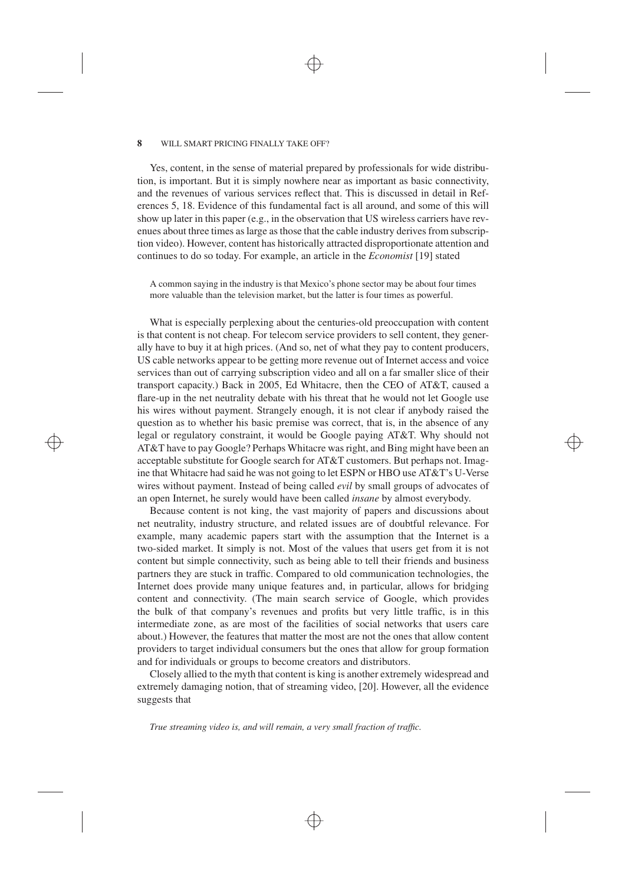Yes, content, in the sense of material prepared by professionals for wide distribution, is important. But it is simply nowhere near as important as basic connectivity, and the revenues of various services reflect that. This is discussed in detail in References 5, 18. Evidence of this fundamental fact is all around, and some of this will show up later in this paper (e.g., in the observation that US wireless carriers have revenues about three times as large as those that the cable industry derives from subscription video). However, content has historically attracted disproportionate attention and continues to do so today. For example, an article in the *Economist* [19] stated

A common saying in the industry is that Mexico's phone sector may be about four times more valuable than the television market, but the latter is four times as powerful.

What is especially perplexing about the centuries-old preoccupation with content is that content is not cheap. For telecom service providers to sell content, they generally have to buy it at high prices. (And so, net of what they pay to content producers, US cable networks appear to be getting more revenue out of Internet access and voice services than out of carrying subscription video and all on a far smaller slice of their transport capacity.) Back in 2005, Ed Whitacre, then the CEO of AT&T, caused a flare-up in the net neutrality debate with his threat that he would not let Google use his wires without payment. Strangely enough, it is not clear if anybody raised the question as to whether his basic premise was correct, that is, in the absence of any legal or regulatory constraint, it would be Google paying AT&T. Why should not AT&T have to pay Google? Perhaps Whitacre was right, and Bing might have been an acceptable substitute for Google search for AT&T customers. But perhaps not. Imagine that Whitacre had said he was not going to let ESPN or HBO use AT&T's U-Verse wires without payment. Instead of being called *evil* by small groups of advocates of an open Internet, he surely would have been called *insane* by almost everybody.

Because content is not king, the vast majority of papers and discussions about net neutrality, industry structure, and related issues are of doubtful relevance. For example, many academic papers start with the assumption that the Internet is a two-sided market. It simply is not. Most of the values that users get from it is not content but simple connectivity, such as being able to tell their friends and business partners they are stuck in traffic. Compared to old communication technologies, the Internet does provide many unique features and, in particular, allows for bridging content and connectivity. (The main search service of Google, which provides the bulk of that company's revenues and profits but very little traffic, is in this intermediate zone, as are most of the facilities of social networks that users care about.) However, the features that matter the most are not the ones that allow content providers to target individual consumers but the ones that allow for group formation and for individuals or groups to become creators and distributors.

Closely allied to the myth that content is king is another extremely widespread and extremely damaging notion, that of streaming video, [20]. However, all the evidence suggests that

*True streaming video is, and will remain, a very small fraction of traffic.*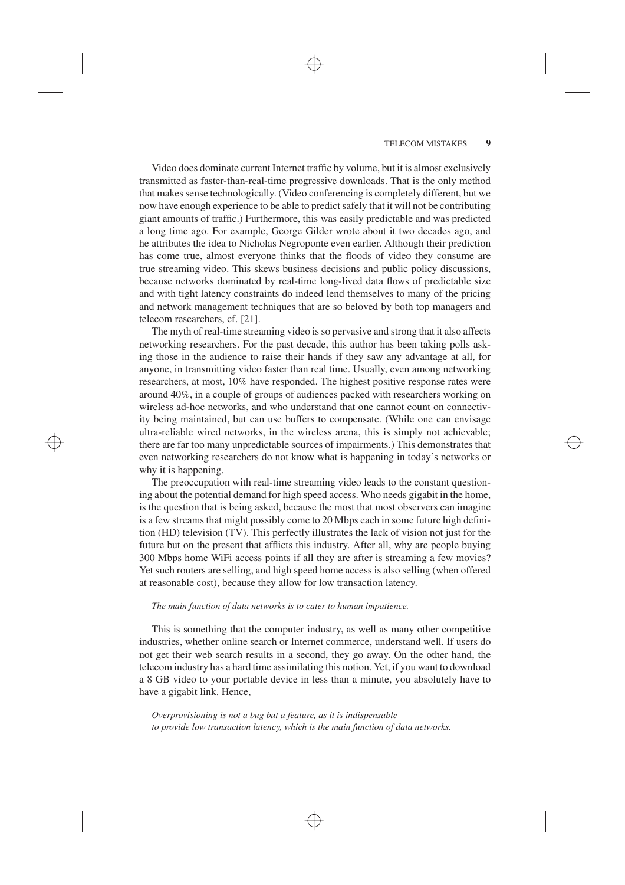#### TELECOM MISTAKES **9**

Video does dominate current Internet traffic by volume, but it is almost exclusively transmitted as faster-than-real-time progressive downloads. That is the only method that makes sense technologically. (Video conferencing is completely different, but we now have enough experience to be able to predict safely that it will not be contributing giant amounts of traffic.) Furthermore, this was easily predictable and was predicted a long time ago. For example, George Gilder wrote about it two decades ago, and he attributes the idea to Nicholas Negroponte even earlier. Although their prediction has come true, almost everyone thinks that the floods of video they consume are true streaming video. This skews business decisions and public policy discussions, because networks dominated by real-time long-lived data flows of predictable size and with tight latency constraints do indeed lend themselves to many of the pricing and network management techniques that are so beloved by both top managers and telecom researchers, cf. [21].

The myth of real-time streaming video is so pervasive and strong that it also affects networking researchers. For the past decade, this author has been taking polls asking those in the audience to raise their hands if they saw any advantage at all, for anyone, in transmitting video faster than real time. Usually, even among networking researchers, at most, 10% have responded. The highest positive response rates were around 40%, in a couple of groups of audiences packed with researchers working on wireless ad-hoc networks, and who understand that one cannot count on connectivity being maintained, but can use buffers to compensate. (While one can envisage ultra-reliable wired networks, in the wireless arena, this is simply not achievable; there are far too many unpredictable sources of impairments.) This demonstrates that even networking researchers do not know what is happening in today's networks or why it is happening.

The preoccupation with real-time streaming video leads to the constant questioning about the potential demand for high speed access. Who needs gigabit in the home, is the question that is being asked, because the most that most observers can imagine is a few streams that might possibly come to 20 Mbps each in some future high definition (HD) television (TV). This perfectly illustrates the lack of vision not just for the future but on the present that afflicts this industry. After all, why are people buying 300 Mbps home WiFi access points if all they are after is streaming a few movies? Yet such routers are selling, and high speed home access is also selling (when offered at reasonable cost), because they allow for low transaction latency.

*The main function of data networks is to cater to human impatience.*

This is something that the computer industry, as well as many other competitive industries, whether online search or Internet commerce, understand well. If users do not get their web search results in a second, they go away. On the other hand, the telecom industry has a hard time assimilating this notion. Yet, if you want to download a 8 GB video to your portable device in less than a minute, you absolutely have to have a gigabit link. Hence,

*Overprovisioning is not a bug but a feature, as it is indispensable to provide low transaction latency, which is the main function of data networks.*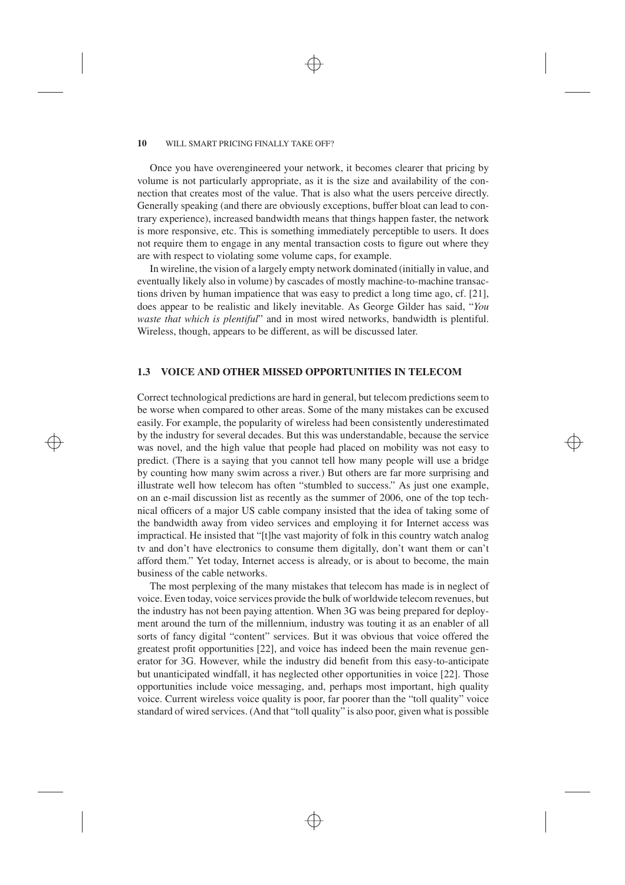Once you have overengineered your network, it becomes clearer that pricing by volume is not particularly appropriate, as it is the size and availability of the connection that creates most of the value. That is also what the users perceive directly. Generally speaking (and there are obviously exceptions, buffer bloat can lead to contrary experience), increased bandwidth means that things happen faster, the network is more responsive, etc. This is something immediately perceptible to users. It does not require them to engage in any mental transaction costs to figure out where they are with respect to violating some volume caps, for example.

In wireline, the vision of a largely empty network dominated (initially in value, and eventually likely also in volume) by cascades of mostly machine-to-machine transactions driven by human impatience that was easy to predict a long time ago, cf. [21], does appear to be realistic and likely inevitable. As George Gilder has said, "*You waste that which is plentiful*" and in most wired networks, bandwidth is plentiful. Wireless, though, appears to be different, as will be discussed later.

# **1.3 VOICE AND OTHER MISSED OPPORTUNITIES IN TELECOM**

Correct technological predictions are hard in general, but telecom predictions seem to be worse when compared to other areas. Some of the many mistakes can be excused easily. For example, the popularity of wireless had been consistently underestimated by the industry for several decades. But this was understandable, because the service was novel, and the high value that people had placed on mobility was not easy to predict. (There is a saying that you cannot tell how many people will use a bridge by counting how many swim across a river.) But others are far more surprising and illustrate well how telecom has often "stumbled to success." As just one example, on an e-mail discussion list as recently as the summer of 2006, one of the top technical officers of a major US cable company insisted that the idea of taking some of the bandwidth away from video services and employing it for Internet access was impractical. He insisted that "[t]he vast majority of folk in this country watch analog tv and don't have electronics to consume them digitally, don't want them or can't afford them." Yet today, Internet access is already, or is about to become, the main business of the cable networks.

The most perplexing of the many mistakes that telecom has made is in neglect of voice. Even today, voice services provide the bulk of worldwide telecom revenues, but the industry has not been paying attention. When 3G was being prepared for deployment around the turn of the millennium, industry was touting it as an enabler of all sorts of fancy digital "content" services. But it was obvious that voice offered the greatest profit opportunities [22], and voice has indeed been the main revenue generator for 3G. However, while the industry did benefit from this easy-to-anticipate but unanticipated windfall, it has neglected other opportunities in voice [22]. Those opportunities include voice messaging, and, perhaps most important, high quality voice. Current wireless voice quality is poor, far poorer than the "toll quality" voice standard of wired services. (And that "toll quality" is also poor, given what is possible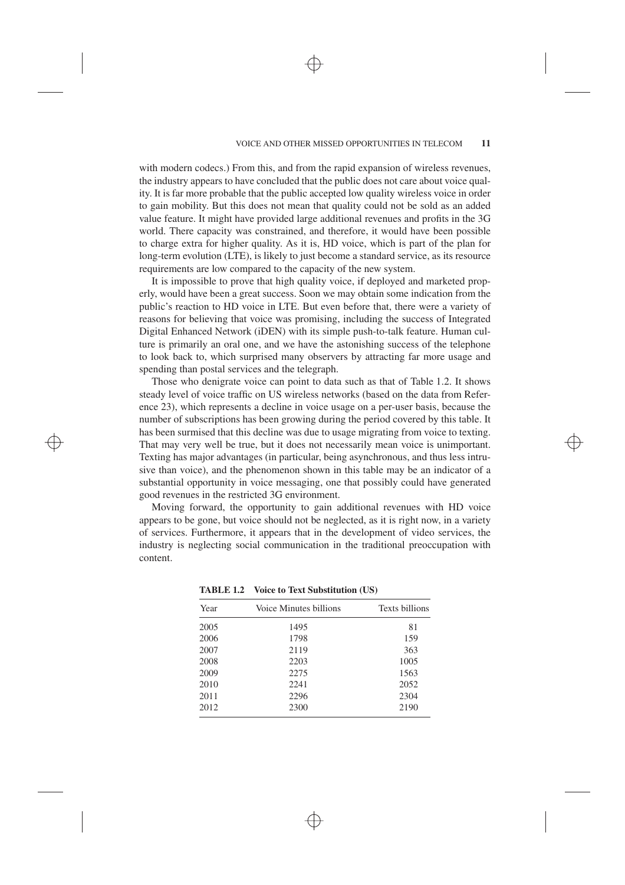with modern codecs.) From this, and from the rapid expansion of wireless revenues, the industry appears to have concluded that the public does not care about voice quality. It is far more probable that the public accepted low quality wireless voice in order to gain mobility. But this does not mean that quality could not be sold as an added value feature. It might have provided large additional revenues and profits in the 3G world. There capacity was constrained, and therefore, it would have been possible to charge extra for higher quality. As it is, HD voice, which is part of the plan for long-term evolution (LTE), is likely to just become a standard service, as its resource requirements are low compared to the capacity of the new system.

It is impossible to prove that high quality voice, if deployed and marketed properly, would have been a great success. Soon we may obtain some indication from the public's reaction to HD voice in LTE. But even before that, there were a variety of reasons for believing that voice was promising, including the success of Integrated Digital Enhanced Network (iDEN) with its simple push-to-talk feature. Human culture is primarily an oral one, and we have the astonishing success of the telephone to look back to, which surprised many observers by attracting far more usage and spending than postal services and the telegraph.

Those who denigrate voice can point to data such as that of Table 1.2. It shows steady level of voice traffic on US wireless networks (based on the data from Reference 23), which represents a decline in voice usage on a per-user basis, because the number of subscriptions has been growing during the period covered by this table. It has been surmised that this decline was due to usage migrating from voice to texting. That may very well be true, but it does not necessarily mean voice is unimportant. Texting has major advantages (in particular, being asynchronous, and thus less intrusive than voice), and the phenomenon shown in this table may be an indicator of a substantial opportunity in voice messaging, one that possibly could have generated good revenues in the restricted 3G environment.

Moving forward, the opportunity to gain additional revenues with HD voice appears to be gone, but voice should not be neglected, as it is right now, in a variety of services. Furthermore, it appears that in the development of video services, the industry is neglecting social communication in the traditional preoccupation with content.

| 1ADLE 1.4 | VOICE to Text Substitution (US) |                       |
|-----------|---------------------------------|-----------------------|
| Year      | Voice Minutes billions          | <b>Texts billions</b> |
| 2005      | 1495                            | 81                    |
| 2006      | 1798                            | 159                   |
| 2007      | 2119                            | 363                   |
| 2008      | 2203                            | 1005                  |
| 2009      | 2275                            | 1563                  |
| 2010      | 2241                            | 2052                  |
| 2011      | 2296                            | 2304                  |
| 2012      | 2300                            | 2190                  |

**TABLE 1.2 Voice to Text Substitution (US)**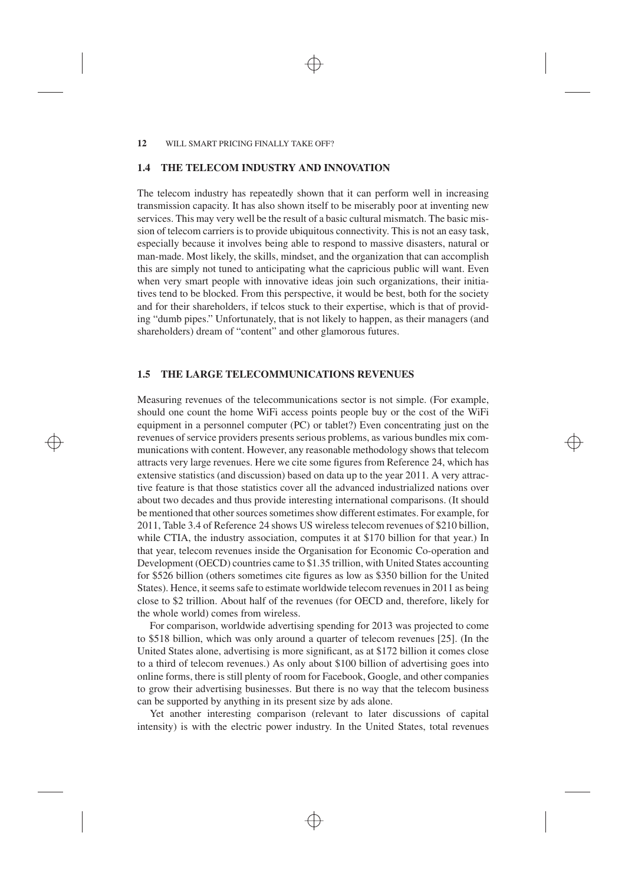## **1.4 THE TELECOM INDUSTRY AND INNOVATION**

The telecom industry has repeatedly shown that it can perform well in increasing transmission capacity. It has also shown itself to be miserably poor at inventing new services. This may very well be the result of a basic cultural mismatch. The basic mission of telecom carriers is to provide ubiquitous connectivity. This is not an easy task, especially because it involves being able to respond to massive disasters, natural or man-made. Most likely, the skills, mindset, and the organization that can accomplish this are simply not tuned to anticipating what the capricious public will want. Even when very smart people with innovative ideas join such organizations, their initiatives tend to be blocked. From this perspective, it would be best, both for the society and for their shareholders, if telcos stuck to their expertise, which is that of providing "dumb pipes." Unfortunately, that is not likely to happen, as their managers (and shareholders) dream of "content" and other glamorous futures.

# **1.5 THE LARGE TELECOMMUNICATIONS REVENUES**

Measuring revenues of the telecommunications sector is not simple. (For example, should one count the home WiFi access points people buy or the cost of the WiFi equipment in a personnel computer (PC) or tablet?) Even concentrating just on the revenues of service providers presents serious problems, as various bundles mix communications with content. However, any reasonable methodology shows that telecom attracts very large revenues. Here we cite some figures from Reference 24, which has extensive statistics (and discussion) based on data up to the year 2011. A very attractive feature is that those statistics cover all the advanced industrialized nations over about two decades and thus provide interesting international comparisons. (It should be mentioned that other sources sometimes show different estimates. For example, for 2011, Table 3.4 of Reference 24 shows US wireless telecom revenues of \$210 billion, while CTIA, the industry association, computes it at \$170 billion for that year.) In that year, telecom revenues inside the Organisation for Economic Co-operation and Development (OECD) countries came to \$1.35 trillion, with United States accounting for \$526 billion (others sometimes cite figures as low as \$350 billion for the United States). Hence, it seems safe to estimate worldwide telecom revenues in 2011 as being close to \$2 trillion. About half of the revenues (for OECD and, therefore, likely for the whole world) comes from wireless.

For comparison, worldwide advertising spending for 2013 was projected to come to \$518 billion, which was only around a quarter of telecom revenues [25]. (In the United States alone, advertising is more significant, as at \$172 billion it comes close to a third of telecom revenues.) As only about \$100 billion of advertising goes into online forms, there is still plenty of room for Facebook, Google, and other companies to grow their advertising businesses. But there is no way that the telecom business can be supported by anything in its present size by ads alone.

Yet another interesting comparison (relevant to later discussions of capital intensity) is with the electric power industry. In the United States, total revenues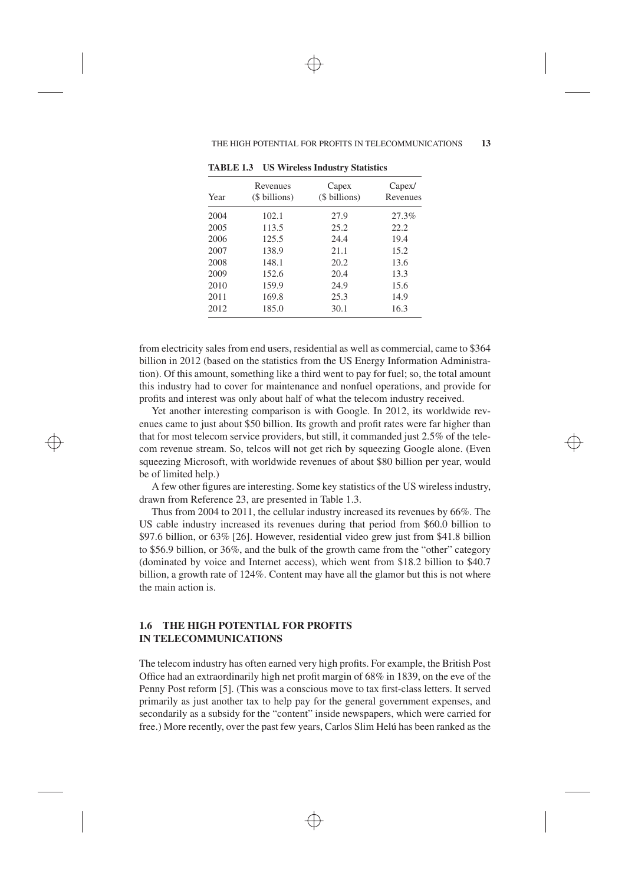| Year | Revenues<br>(\$ billions) | Capex<br>(\$ billions) | Capex/<br>Revenues |
|------|---------------------------|------------------------|--------------------|
| 2004 | 102.1                     | 27.9                   | 27.3%              |
| 2005 | 113.5                     | 25.2                   | 22.2               |
| 2006 | 125.5                     | 24.4                   | 19.4               |
| 2007 | 138.9                     | 21.1                   | 15.2               |
| 2008 | 148.1                     | 20.2                   | 13.6               |
| 2009 | 152.6                     | 20.4                   | 13.3               |
| 2010 | 159.9                     | 24.9                   | 15.6               |
| 2011 | 169.8                     | 25.3                   | 14.9               |
| 2012 | 185.0                     | 30.1                   | 16.3               |

**TABLE 1.3 US Wireless Industry Statistics**

from electricity sales from end users, residential as well as commercial, came to \$364 billion in 2012 (based on the statistics from the US Energy Information Administration). Of this amount, something like a third went to pay for fuel; so, the total amount this industry had to cover for maintenance and nonfuel operations, and provide for profits and interest was only about half of what the telecom industry received.

Yet another interesting comparison is with Google. In 2012, its worldwide revenues came to just about \$50 billion. Its growth and profit rates were far higher than that for most telecom service providers, but still, it commanded just 2.5% of the telecom revenue stream. So, telcos will not get rich by squeezing Google alone. (Even squeezing Microsoft, with worldwide revenues of about \$80 billion per year, would be of limited help.)

A few other figures are interesting. Some key statistics of the US wireless industry, drawn from Reference 23, are presented in Table 1.3.

Thus from 2004 to 2011, the cellular industry increased its revenues by 66%. The US cable industry increased its revenues during that period from \$60.0 billion to \$97.6 billion, or 63% [26]. However, residential video grew just from \$41.8 billion to \$56.9 billion, or 36%, and the bulk of the growth came from the "other" category (dominated by voice and Internet access), which went from \$18.2 billion to \$40.7 billion, a growth rate of 124%. Content may have all the glamor but this is not where the main action is.

# **1.6 THE HIGH POTENTIAL FOR PROFITS IN TELECOMMUNICATIONS**

The telecom industry has often earned very high profits. For example, the British Post Office had an extraordinarily high net profit margin of 68% in 1839, on the eve of the Penny Post reform [5]. (This was a conscious move to tax first-class letters. It served primarily as just another tax to help pay for the general government expenses, and secondarily as a subsidy for the "content" inside newspapers, which were carried for free.) More recently, over the past few years, Carlos Slim Helú has been ranked as the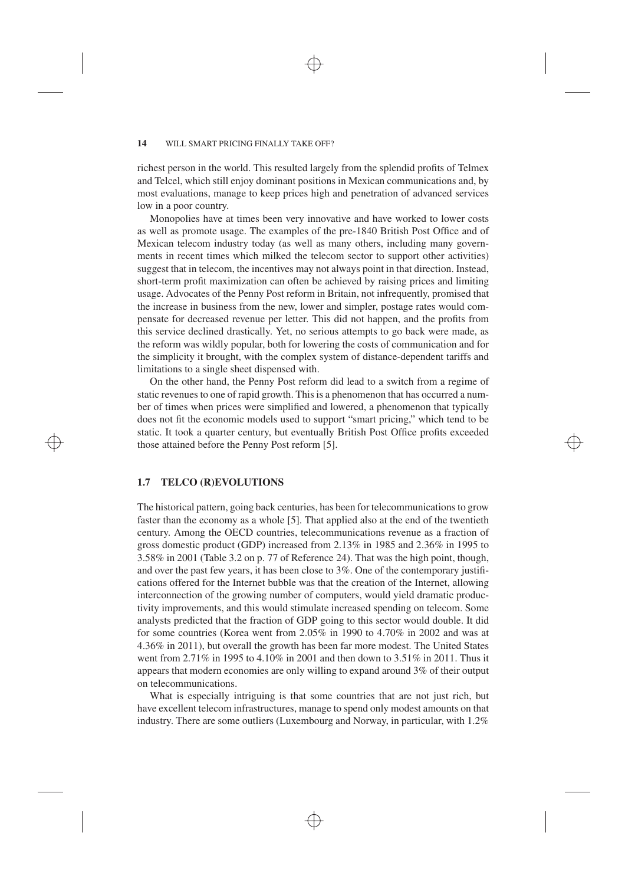richest person in the world. This resulted largely from the splendid profits of Telmex and Telcel, which still enjoy dominant positions in Mexican communications and, by most evaluations, manage to keep prices high and penetration of advanced services low in a poor country.

Monopolies have at times been very innovative and have worked to lower costs as well as promote usage. The examples of the pre-1840 British Post Office and of Mexican telecom industry today (as well as many others, including many governments in recent times which milked the telecom sector to support other activities) suggest that in telecom, the incentives may not always point in that direction. Instead, short-term profit maximization can often be achieved by raising prices and limiting usage. Advocates of the Penny Post reform in Britain, not infrequently, promised that the increase in business from the new, lower and simpler, postage rates would compensate for decreased revenue per letter. This did not happen, and the profits from this service declined drastically. Yet, no serious attempts to go back were made, as the reform was wildly popular, both for lowering the costs of communication and for the simplicity it brought, with the complex system of distance-dependent tariffs and limitations to a single sheet dispensed with.

On the other hand, the Penny Post reform did lead to a switch from a regime of static revenues to one of rapid growth. This is a phenomenon that has occurred a number of times when prices were simplified and lowered, a phenomenon that typically does not fit the economic models used to support "smart pricing," which tend to be static. It took a quarter century, but eventually British Post Office profits exceeded those attained before the Penny Post reform [5].

# **1.7 TELCO (R)EVOLUTIONS**

The historical pattern, going back centuries, has been for telecommunications to grow faster than the economy as a whole [5]. That applied also at the end of the twentieth century. Among the OECD countries, telecommunications revenue as a fraction of gross domestic product (GDP) increased from 2.13% in 1985 and 2.36% in 1995 to 3.58% in 2001 (Table 3.2 on p. 77 of Reference 24). That was the high point, though, and over the past few years, it has been close to 3%. One of the contemporary justifications offered for the Internet bubble was that the creation of the Internet, allowing interconnection of the growing number of computers, would yield dramatic productivity improvements, and this would stimulate increased spending on telecom. Some analysts predicted that the fraction of GDP going to this sector would double. It did for some countries (Korea went from 2.05% in 1990 to 4.70% in 2002 and was at 4.36% in 2011), but overall the growth has been far more modest. The United States went from 2.71% in 1995 to 4.10% in 2001 and then down to 3.51% in 2011. Thus it appears that modern economies are only willing to expand around 3% of their output on telecommunications.

What is especially intriguing is that some countries that are not just rich, but have excellent telecom infrastructures, manage to spend only modest amounts on that industry. There are some outliers (Luxembourg and Norway, in particular, with 1.2%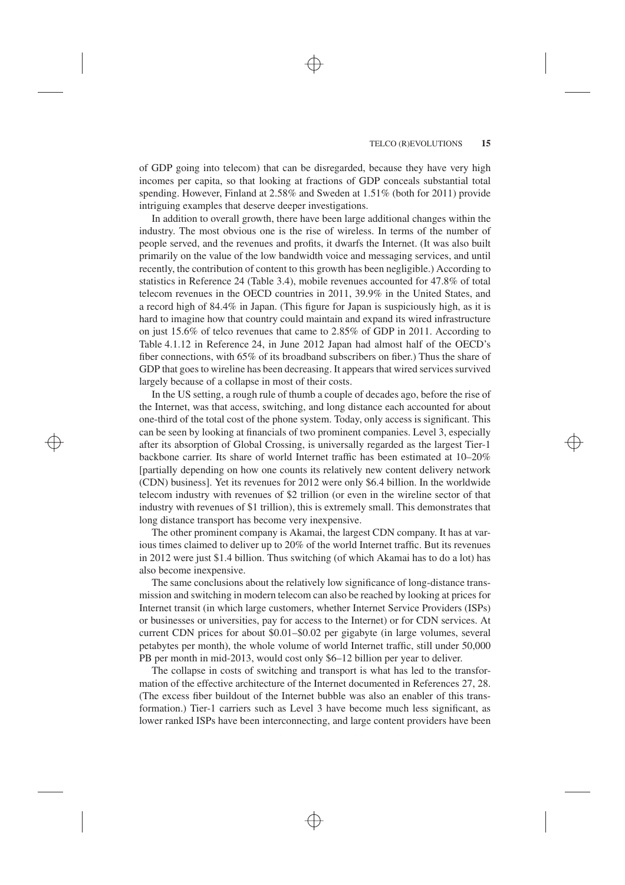#### TELCO (R)EVOLUTIONS **15**

of GDP going into telecom) that can be disregarded, because they have very high incomes per capita, so that looking at fractions of GDP conceals substantial total spending. However, Finland at 2.58% and Sweden at 1.51% (both for 2011) provide intriguing examples that deserve deeper investigations.

In addition to overall growth, there have been large additional changes within the industry. The most obvious one is the rise of wireless. In terms of the number of people served, and the revenues and profits, it dwarfs the Internet. (It was also built primarily on the value of the low bandwidth voice and messaging services, and until recently, the contribution of content to this growth has been negligible.) According to statistics in Reference 24 (Table 3.4), mobile revenues accounted for 47.8% of total telecom revenues in the OECD countries in 2011, 39.9% in the United States, and a record high of 84.4% in Japan. (This figure for Japan is suspiciously high, as it is hard to imagine how that country could maintain and expand its wired infrastructure on just 15.6% of telco revenues that came to 2.85% of GDP in 2011. According to Table 4.1.12 in Reference 24, in June 2012 Japan had almost half of the OECD's fiber connections, with 65% of its broadband subscribers on fiber.) Thus the share of GDP that goes to wireline has been decreasing. It appears that wired services survived largely because of a collapse in most of their costs.

In the US setting, a rough rule of thumb a couple of decades ago, before the rise of the Internet, was that access, switching, and long distance each accounted for about one-third of the total cost of the phone system. Today, only access is significant. This can be seen by looking at financials of two prominent companies. Level 3, especially after its absorption of Global Crossing, is universally regarded as the largest Tier-1 backbone carrier. Its share of world Internet traffic has been estimated at 10–20% [partially depending on how one counts its relatively new content delivery network (CDN) business]. Yet its revenues for 2012 were only \$6.4 billion. In the worldwide telecom industry with revenues of \$2 trillion (or even in the wireline sector of that industry with revenues of \$1 trillion), this is extremely small. This demonstrates that long distance transport has become very inexpensive.

The other prominent company is Akamai, the largest CDN company. It has at various times claimed to deliver up to 20% of the world Internet traffic. But its revenues in 2012 were just \$1.4 billion. Thus switching (of which Akamai has to do a lot) has also become inexpensive.

The same conclusions about the relatively low significance of long-distance transmission and switching in modern telecom can also be reached by looking at prices for Internet transit (in which large customers, whether Internet Service Providers (ISPs) or businesses or universities, pay for access to the Internet) or for CDN services. At current CDN prices for about \$0.01–\$0.02 per gigabyte (in large volumes, several petabytes per month), the whole volume of world Internet traffic, still under 50,000 PB per month in mid-2013, would cost only \$6–12 billion per year to deliver.

The collapse in costs of switching and transport is what has led to the transformation of the effective architecture of the Internet documented in References 27, 28. (The excess fiber buildout of the Internet bubble was also an enabler of this transformation.) Tier-1 carriers such as Level 3 have become much less significant, as lower ranked ISPs have been interconnecting, and large content providers have been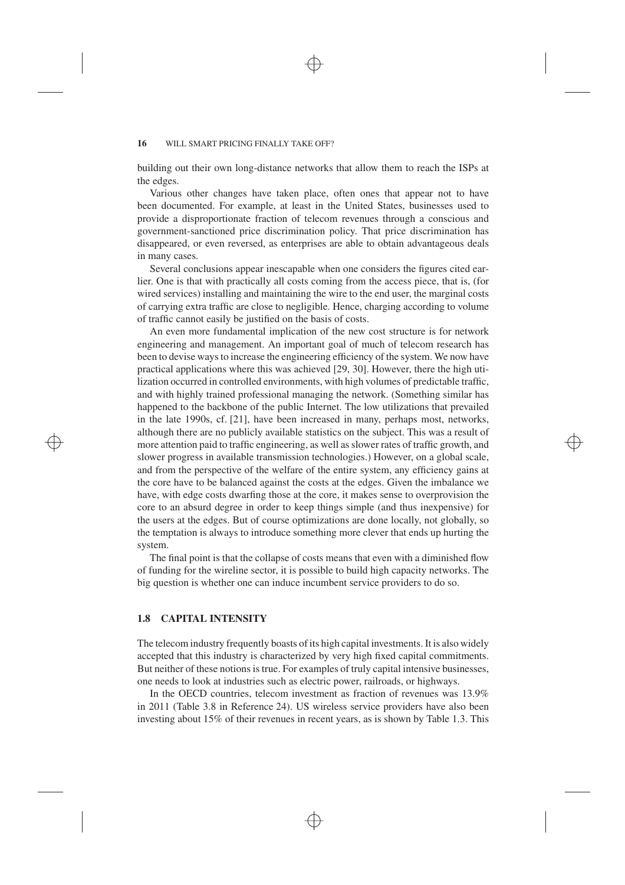building out their own long-distance networks that allow them to reach the ISPs at the edges.

Various other changes have taken place, often ones that appear not to have been documented. For example, at least in the United States, businesses used to provide a disproportionate fraction of telecom revenues through a conscious and government-sanctioned price discrimination policy. That price discrimination has disappeared, or even reversed, as enterprises are able to obtain advantageous deals in many cases.

Several conclusions appear inescapable when one considers the figures cited earlier. One is that with practically all costs coming from the access piece, that is, (for wired services) installing and maintaining the wire to the end user, the marginal costs of carrying extra traffic are close to negligible. Hence, charging according to volume of traffic cannot easily be justified on the basis of costs.

An even more fundamental implication of the new cost structure is for network engineering and management. An important goal of much of telecom research has been to devise ways to increase the engineering efficiency of the system. We now have practical applications where this was achieved [29, 30]. However, there the high utilization occurred in controlled environments, with high volumes of predictable traffic, and with highly trained professional managing the network. (Something similar has happened to the backbone of the public Internet. The low utilizations that prevailed in the late 1990s, cf. [21], have been increased in many, perhaps most, networks, although there are no publicly available statistics on the subject. This was a result of more attention paid to traffic engineering, as well as slower rates of traffic growth, and slower progress in available transmission technologies.) However, on a global scale, and from the perspective of the welfare of the entire system, any efficiency gains at the core have to be balanced against the costs at the edges. Given the imbalance we have, with edge costs dwarfing those at the core, it makes sense to overprovision the core to an absurd degree in order to keep things simple (and thus inexpensive) for the users at the edges. But of course optimizations are done locally, not globally, so the temptation is always to introduce something more clever that ends up hurting the system.

The final point is that the collapse of costs means that even with a diminished flow of funding for the wireline sector, it is possible to build high capacity networks. The big question is whether one can induce incumbent service providers to do so.

## **1.8 CAPITAL INTENSITY**

The telecom industry frequently boasts of its high capital investments. It is also widely accepted that this industry is characterized by very high fixed capital commitments. But neither of these notions is true. For examples of truly capital intensive businesses, one needs to look at industries such as electric power, railroads, or highways.

In the OECD countries, telecom investment as fraction of revenues was 13.9% in 2011 (Table 3.8 in Reference 24). US wireless service providers have also been investing about 15% of their revenues in recent years, as is shown by Table 1.3. This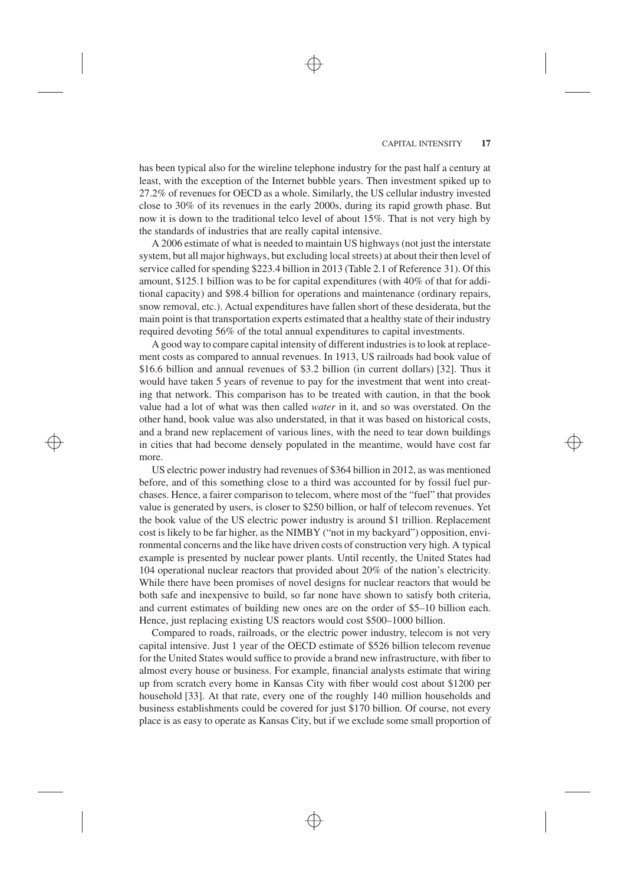has been typical also for the wireline telephone industry for the past half a century at least, with the exception of the Internet bubble years. Then investment spiked up to 27.2% of revenues for OECD as a whole. Similarly, the US cellular industry invested close to 30% of its revenues in the early 2000s, during its rapid growth phase. But now it is down to the traditional telco level of about 15%. That is not very high by the standards of industries that are really capital intensive.

A 2006 estimate of what is needed to maintain US highways (not just the interstate system, but all major highways, but excluding local streets) at about their then level of service called for spending \$223.4 billion in 2013 (Table 2.1 of Reference 31). Of this amount, \$125.1 billion was to be for capital expenditures (with 40% of that for additional capacity) and \$98.4 billion for operations and maintenance (ordinary repairs, snow removal, etc.). Actual expenditures have fallen short of these desiderata, but the main point is that transportation experts estimated that a healthy state of their industry required devoting 56% of the total annual expenditures to capital investments.

A good way to compare capital intensity of different industries is to look at replacement costs as compared to annual revenues. In 1913, US railroads had book value of \$16.6 billion and annual revenues of \$3.2 billion (in current dollars) [32]. Thus it would have taken 5 years of revenue to pay for the investment that went into creating that network. This comparison has to be treated with caution, in that the book value had a lot of what was then called *water* in it, and so was overstated. On the other hand, book value was also understated, in that it was based on historical costs, and a brand new replacement of various lines, with the need to tear down buildings in cities that had become densely populated in the meantime, would have cost far more.

US electric power industry had revenues of \$364 billion in 2012, as was mentioned before, and of this something close to a third was accounted for by fossil fuel purchases. Hence, a fairer comparison to telecom, where most of the "fuel" that provides value is generated by users, is closer to \$250 billion, or half of telecom revenues. Yet the book value of the US electric power industry is around \$1 trillion. Replacement cost is likely to be far higher, as the NIMBY ("not in my backyard") opposition, environmental concerns and the like have driven costs of construction very high. A typical example is presented by nuclear power plants. Until recently, the United States had 104 operational nuclear reactors that provided about 20% of the nation's electricity. While there have been promises of novel designs for nuclear reactors that would be both safe and inexpensive to build, so far none have shown to satisfy both criteria, and current estimates of building new ones are on the order of \$5–10 billion each. Hence, just replacing existing US reactors would cost \$500–1000 billion.

Compared to roads, railroads, or the electric power industry, telecom is not very capital intensive. Just 1 year of the OECD estimate of \$526 billion telecom revenue for the United States would suffice to provide a brand new infrastructure, with fiber to almost every house or business. For example, financial analysts estimate that wiring up from scratch every home in Kansas City with fiber would cost about \$1200 per household [33]. At that rate, every one of the roughly 140 million households and business establishments could be covered for just \$170 billion. Of course, not every place is as easy to operate as Kansas City, but if we exclude some small proportion of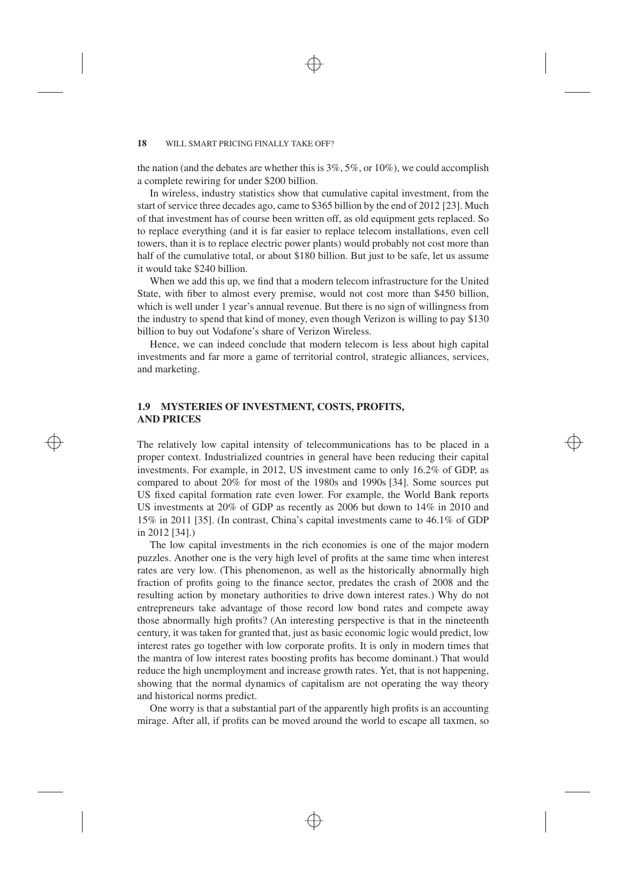the nation (and the debates are whether this is 3%, 5%, or 10%), we could accomplish a complete rewiring for under \$200 billion.

In wireless, industry statistics show that cumulative capital investment, from the start of service three decades ago, came to \$365 billion by the end of 2012 [23]. Much of that investment has of course been written off, as old equipment gets replaced. So to replace everything (and it is far easier to replace telecom installations, even cell towers, than it is to replace electric power plants) would probably not cost more than half of the cumulative total, or about \$180 billion. But just to be safe, let us assume it would take \$240 billion.

When we add this up, we find that a modern telecom infrastructure for the United State, with fiber to almost every premise, would not cost more than \$450 billion, which is well under 1 year's annual revenue. But there is no sign of willingness from the industry to spend that kind of money, even though Verizon is willing to pay \$130 billion to buy out Vodafone's share of Verizon Wireless.

Hence, we can indeed conclude that modern telecom is less about high capital investments and far more a game of territorial control, strategic alliances, services, and marketing.

# **1.9 MYSTERIES OF INVESTMENT, COSTS, PROFITS, AND PRICES**

The relatively low capital intensity of telecommunications has to be placed in a proper context. Industrialized countries in general have been reducing their capital investments. For example, in 2012, US investment came to only 16.2% of GDP, as compared to about 20% for most of the 1980s and 1990s [34]. Some sources put US fixed capital formation rate even lower. For example, the World Bank reports US investments at 20% of GDP as recently as 2006 but down to 14% in 2010 and 15% in 2011 [35]. (In contrast, China's capital investments came to 46.1% of GDP in 2012 [34].)

The low capital investments in the rich economies is one of the major modern puzzles. Another one is the very high level of profits at the same time when interest rates are very low. (This phenomenon, as well as the historically abnormally high fraction of profits going to the finance sector, predates the crash of 2008 and the resulting action by monetary authorities to drive down interest rates.) Why do not entrepreneurs take advantage of those record low bond rates and compete away those abnormally high profits? (An interesting perspective is that in the nineteenth century, it was taken for granted that, just as basic economic logic would predict, low interest rates go together with low corporate profits. It is only in modern times that the mantra of low interest rates boosting profits has become dominant.) That would reduce the high unemployment and increase growth rates. Yet, that is not happening, showing that the normal dynamics of capitalism are not operating the way theory and historical norms predict.

One worry is that a substantial part of the apparently high profits is an accounting mirage. After all, if profits can be moved around the world to escape all taxmen, so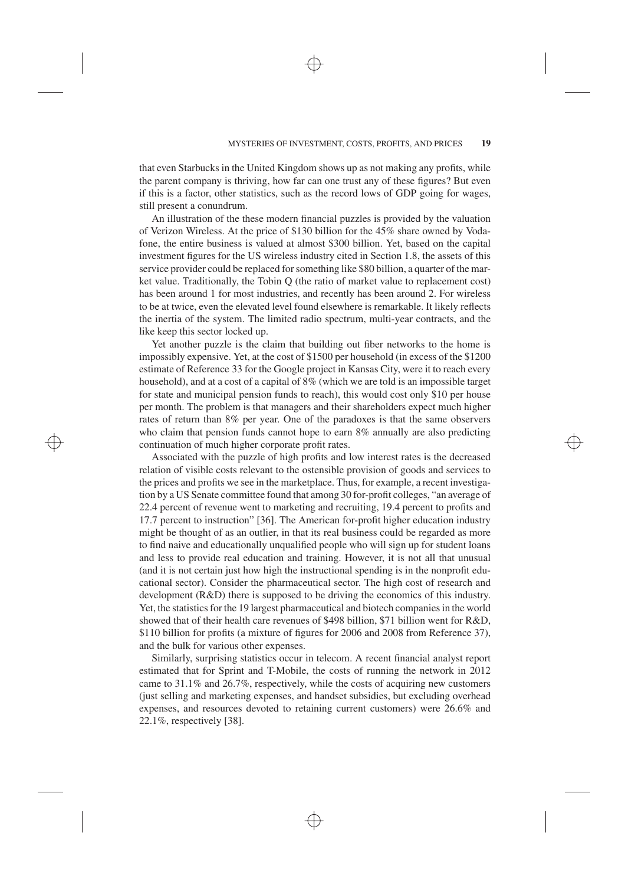that even Starbucks in the United Kingdom shows up as not making any profits, while the parent company is thriving, how far can one trust any of these figures? But even if this is a factor, other statistics, such as the record lows of GDP going for wages, still present a conundrum.

An illustration of the these modern financial puzzles is provided by the valuation of Verizon Wireless. At the price of \$130 billion for the 45% share owned by Vodafone, the entire business is valued at almost \$300 billion. Yet, based on the capital investment figures for the US wireless industry cited in Section 1.8, the assets of this service provider could be replaced for something like \$80 billion, a quarter of the market value. Traditionally, the Tobin Q (the ratio of market value to replacement cost) has been around 1 for most industries, and recently has been around 2. For wireless to be at twice, even the elevated level found elsewhere is remarkable. It likely reflects the inertia of the system. The limited radio spectrum, multi-year contracts, and the like keep this sector locked up.

Yet another puzzle is the claim that building out fiber networks to the home is impossibly expensive. Yet, at the cost of \$1500 per household (in excess of the \$1200 estimate of Reference 33 for the Google project in Kansas City, were it to reach every household), and at a cost of a capital of 8% (which we are told is an impossible target for state and municipal pension funds to reach), this would cost only \$10 per house per month. The problem is that managers and their shareholders expect much higher rates of return than 8% per year. One of the paradoxes is that the same observers who claim that pension funds cannot hope to earn 8% annually are also predicting continuation of much higher corporate profit rates.

Associated with the puzzle of high profits and low interest rates is the decreased relation of visible costs relevant to the ostensible provision of goods and services to the prices and profits we see in the marketplace. Thus, for example, a recent investigation by a US Senate committee found that among 30 for-profit colleges, "an average of 22.4 percent of revenue went to marketing and recruiting, 19.4 percent to profits and 17.7 percent to instruction" [36]. The American for-profit higher education industry might be thought of as an outlier, in that its real business could be regarded as more to find naive and educationally unqualified people who will sign up for student loans and less to provide real education and training. However, it is not all that unusual (and it is not certain just how high the instructional spending is in the nonprofit educational sector). Consider the pharmaceutical sector. The high cost of research and development (R&D) there is supposed to be driving the economics of this industry. Yet, the statistics for the 19 largest pharmaceutical and biotech companies in the world showed that of their health care revenues of \$498 billion, \$71 billion went for R&D, \$110 billion for profits (a mixture of figures for 2006 and 2008 from Reference 37), and the bulk for various other expenses.

Similarly, surprising statistics occur in telecom. A recent financial analyst report estimated that for Sprint and T-Mobile, the costs of running the network in 2012 came to 31.1% and 26.7%, respectively, while the costs of acquiring new customers (just selling and marketing expenses, and handset subsidies, but excluding overhead expenses, and resources devoted to retaining current customers) were 26.6% and 22.1%, respectively [38].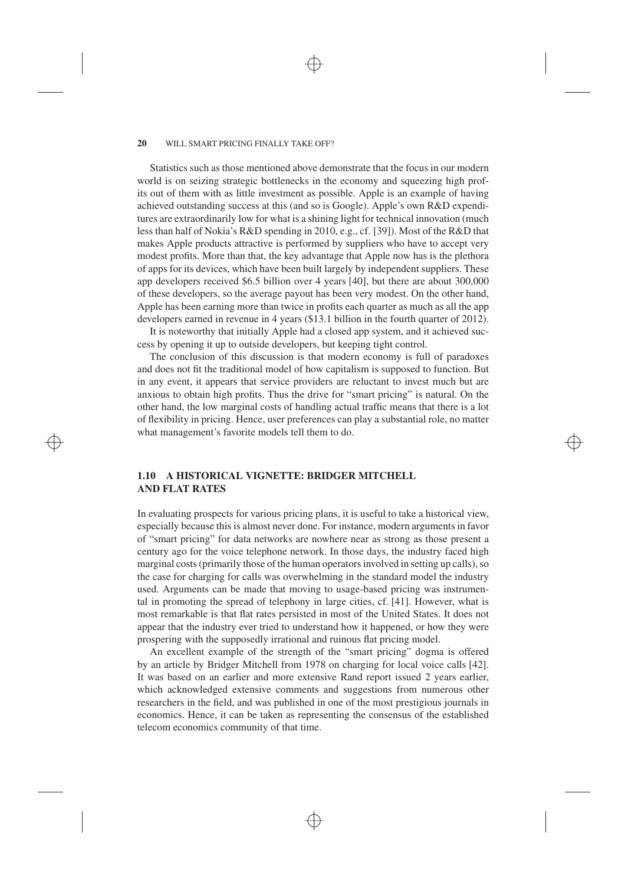Statistics such as those mentioned above demonstrate that the focus in our modern world is on seizing strategic bottlenecks in the economy and squeezing high profits out of them with as little investment as possible. Apple is an example of having achieved outstanding success at this (and so is Google). Apple's own R&D expenditures are extraordinarily low for what is a shining light for technical innovation (much less than half of Nokia's R&D spending in 2010, e.g., cf. [39]). Most of the R&D that makes Apple products attractive is performed by suppliers who have to accept very modest profits. More than that, the key advantage that Apple now has is the plethora of apps for its devices, which have been built largely by independent suppliers. These app developers received \$6.5 billion over 4 years [40], but there are about 300,000 of these developers, so the average payout has been very modest. On the other hand, Apple has been earning more than twice in profits each quarter as much as all the app developers earned in revenue in 4 years (\$13.1 billion in the fourth quarter of 2012).

It is noteworthy that initially Apple had a closed app system, and it achieved success by opening it up to outside developers, but keeping tight control.

The conclusion of this discussion is that modern economy is full of paradoxes and does not fit the traditional model of how capitalism is supposed to function. But in any event, it appears that service providers are reluctant to invest much but are anxious to obtain high profits. Thus the drive for "smart pricing" is natural. On the other hand, the low marginal costs of handling actual traffic means that there is a lot of flexibility in pricing. Hence, user preferences can play a substantial role, no matter what management's favorite models tell them to do.

# **1.10 A HISTORICAL VIGNETTE: BRIDGER MITCHELL AND FLAT RATES**

In evaluating prospects for various pricing plans, it is useful to take a historical view, especially because this is almost never done. For instance, modern arguments in favor of "smart pricing" for data networks are nowhere near as strong as those present a century ago for the voice telephone network. In those days, the industry faced high marginal costs (primarily those of the human operators involved in setting up calls), so the case for charging for calls was overwhelming in the standard model the industry used. Arguments can be made that moving to usage-based pricing was instrumental in promoting the spread of telephony in large cities, cf. [41]. However, what is most remarkable is that flat rates persisted in most of the United States. It does not appear that the industry ever tried to understand how it happened, or how they were prospering with the supposedly irrational and ruinous flat pricing model.

An excellent example of the strength of the "smart pricing" dogma is offered by an article by Bridger Mitchell from 1978 on charging for local voice calls [42]. It was based on an earlier and more extensive Rand report issued 2 years earlier, which acknowledged extensive comments and suggestions from numerous other researchers in the field, and was published in one of the most prestigious journals in economics. Hence, it can be taken as representing the consensus of the established telecom economics community of that time.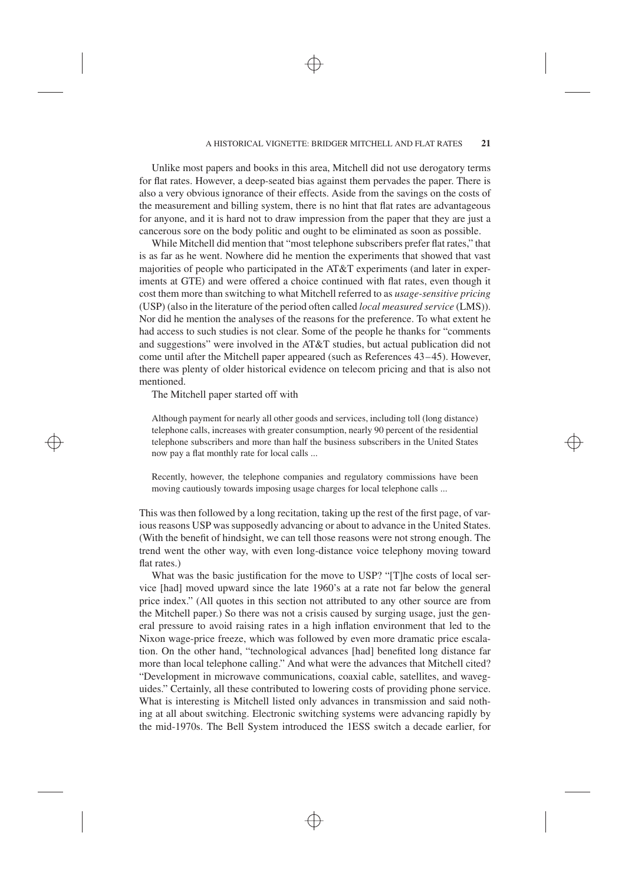#### A HISTORICAL VIGNETTE: BRIDGER MITCHELL AND FLAT RATES **21**

Unlike most papers and books in this area, Mitchell did not use derogatory terms for flat rates. However, a deep-seated bias against them pervades the paper. There is also a very obvious ignorance of their effects. Aside from the savings on the costs of the measurement and billing system, there is no hint that flat rates are advantageous for anyone, and it is hard not to draw impression from the paper that they are just a cancerous sore on the body politic and ought to be eliminated as soon as possible.

While Mitchell did mention that "most telephone subscribers prefer flat rates," that is as far as he went. Nowhere did he mention the experiments that showed that vast majorities of people who participated in the AT&T experiments (and later in experiments at GTE) and were offered a choice continued with flat rates, even though it cost them more than switching to what Mitchell referred to as *usage-sensitive pricing* (USP) (also in the literature of the period often called *local measured service* (LMS)). Nor did he mention the analyses of the reasons for the preference. To what extent he had access to such studies is not clear. Some of the people he thanks for "comments and suggestions" were involved in the AT&T studies, but actual publication did not come until after the Mitchell paper appeared (such as References 43–45). However, there was plenty of older historical evidence on telecom pricing and that is also not mentioned.

The Mitchell paper started off with

Although payment for nearly all other goods and services, including toll (long distance) telephone calls, increases with greater consumption, nearly 90 percent of the residential telephone subscribers and more than half the business subscribers in the United States now pay a flat monthly rate for local calls ...

Recently, however, the telephone companies and regulatory commissions have been moving cautiously towards imposing usage charges for local telephone calls ...

This was then followed by a long recitation, taking up the rest of the first page, of various reasons USP was supposedly advancing or about to advance in the United States. (With the benefit of hindsight, we can tell those reasons were not strong enough. The trend went the other way, with even long-distance voice telephony moving toward flat rates.)

What was the basic justification for the move to USP? "[T]he costs of local service [had] moved upward since the late 1960's at a rate not far below the general price index." (All quotes in this section not attributed to any other source are from the Mitchell paper.) So there was not a crisis caused by surging usage, just the general pressure to avoid raising rates in a high inflation environment that led to the Nixon wage-price freeze, which was followed by even more dramatic price escalation. On the other hand, "technological advances [had] benefited long distance far more than local telephone calling." And what were the advances that Mitchell cited? "Development in microwave communications, coaxial cable, satellites, and waveguides." Certainly, all these contributed to lowering costs of providing phone service. What is interesting is Mitchell listed only advances in transmission and said nothing at all about switching. Electronic switching systems were advancing rapidly by the mid-1970s. The Bell System introduced the 1ESS switch a decade earlier, for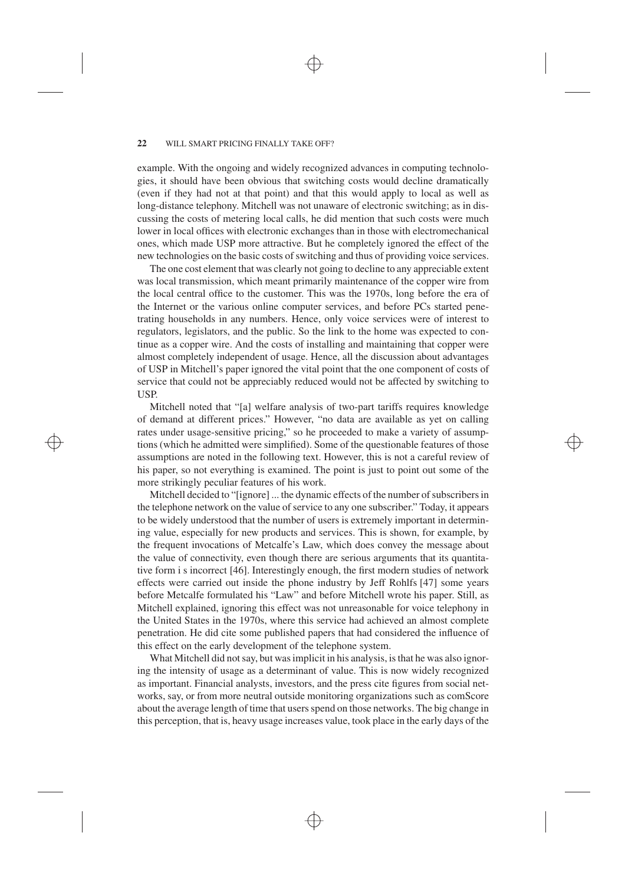example. With the ongoing and widely recognized advances in computing technologies, it should have been obvious that switching costs would decline dramatically (even if they had not at that point) and that this would apply to local as well as long-distance telephony. Mitchell was not unaware of electronic switching; as in discussing the costs of metering local calls, he did mention that such costs were much lower in local offices with electronic exchanges than in those with electromechanical ones, which made USP more attractive. But he completely ignored the effect of the new technologies on the basic costs of switching and thus of providing voice services.

The one cost element that was clearly not going to decline to any appreciable extent was local transmission, which meant primarily maintenance of the copper wire from the local central office to the customer. This was the 1970s, long before the era of the Internet or the various online computer services, and before PCs started penetrating households in any numbers. Hence, only voice services were of interest to regulators, legislators, and the public. So the link to the home was expected to continue as a copper wire. And the costs of installing and maintaining that copper were almost completely independent of usage. Hence, all the discussion about advantages of USP in Mitchell's paper ignored the vital point that the one component of costs of service that could not be appreciably reduced would not be affected by switching to USP.

Mitchell noted that "[a] welfare analysis of two-part tariffs requires knowledge of demand at different prices." However, "no data are available as yet on calling rates under usage-sensitive pricing," so he proceeded to make a variety of assumptions (which he admitted were simplified). Some of the questionable features of those assumptions are noted in the following text. However, this is not a careful review of his paper, so not everything is examined. The point is just to point out some of the more strikingly peculiar features of his work.

Mitchell decided to "[ignore] ... the dynamic effects of the number of subscribers in the telephone network on the value of service to any one subscriber." Today, it appears to be widely understood that the number of users is extremely important in determining value, especially for new products and services. This is shown, for example, by the frequent invocations of Metcalfe's Law, which does convey the message about the value of connectivity, even though there are serious arguments that its quantitative form i s incorrect [46]. Interestingly enough, the first modern studies of network effects were carried out inside the phone industry by Jeff Rohlfs [47] some years before Metcalfe formulated his "Law" and before Mitchell wrote his paper. Still, as Mitchell explained, ignoring this effect was not unreasonable for voice telephony in the United States in the 1970s, where this service had achieved an almost complete penetration. He did cite some published papers that had considered the influence of this effect on the early development of the telephone system.

What Mitchell did not say, but was implicit in his analysis, is that he was also ignoring the intensity of usage as a determinant of value. This is now widely recognized as important. Financial analysts, investors, and the press cite figures from social networks, say, or from more neutral outside monitoring organizations such as comScore about the average length of time that users spend on those networks. The big change in this perception, that is, heavy usage increases value, took place in the early days of the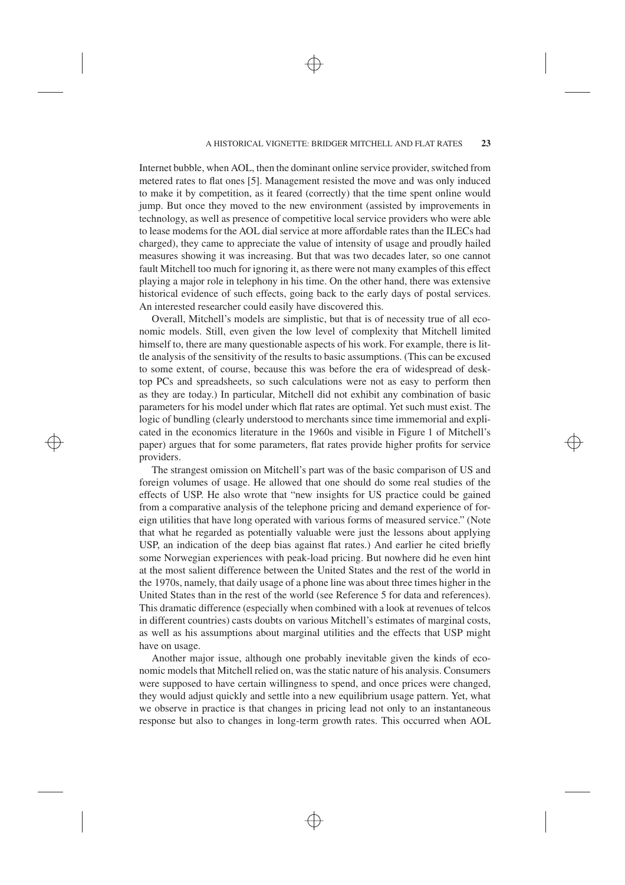Internet bubble, when AOL, then the dominant online service provider, switched from metered rates to flat ones [5]. Management resisted the move and was only induced to make it by competition, as it feared (correctly) that the time spent online would jump. But once they moved to the new environment (assisted by improvements in technology, as well as presence of competitive local service providers who were able to lease modems for the AOL dial service at more affordable rates than the ILECs had charged), they came to appreciate the value of intensity of usage and proudly hailed measures showing it was increasing. But that was two decades later, so one cannot fault Mitchell too much for ignoring it, as there were not many examples of this effect playing a major role in telephony in his time. On the other hand, there was extensive historical evidence of such effects, going back to the early days of postal services. An interested researcher could easily have discovered this.

Overall, Mitchell's models are simplistic, but that is of necessity true of all economic models. Still, even given the low level of complexity that Mitchell limited himself to, there are many questionable aspects of his work. For example, there is little analysis of the sensitivity of the results to basic assumptions. (This can be excused to some extent, of course, because this was before the era of widespread of desktop PCs and spreadsheets, so such calculations were not as easy to perform then as they are today.) In particular, Mitchell did not exhibit any combination of basic parameters for his model under which flat rates are optimal. Yet such must exist. The logic of bundling (clearly understood to merchants since time immemorial and explicated in the economics literature in the 1960s and visible in Figure 1 of Mitchell's paper) argues that for some parameters, flat rates provide higher profits for service providers.

The strangest omission on Mitchell's part was of the basic comparison of US and foreign volumes of usage. He allowed that one should do some real studies of the effects of USP. He also wrote that "new insights for US practice could be gained from a comparative analysis of the telephone pricing and demand experience of foreign utilities that have long operated with various forms of measured service." (Note that what he regarded as potentially valuable were just the lessons about applying USP, an indication of the deep bias against flat rates.) And earlier he cited briefly some Norwegian experiences with peak-load pricing. But nowhere did he even hint at the most salient difference between the United States and the rest of the world in the 1970s, namely, that daily usage of a phone line was about three times higher in the United States than in the rest of the world (see Reference 5 for data and references). This dramatic difference (especially when combined with a look at revenues of telcos in different countries) casts doubts on various Mitchell's estimates of marginal costs, as well as his assumptions about marginal utilities and the effects that USP might have on usage.

Another major issue, although one probably inevitable given the kinds of economic models that Mitchell relied on, was the static nature of his analysis. Consumers were supposed to have certain willingness to spend, and once prices were changed, they would adjust quickly and settle into a new equilibrium usage pattern. Yet, what we observe in practice is that changes in pricing lead not only to an instantaneous response but also to changes in long-term growth rates. This occurred when AOL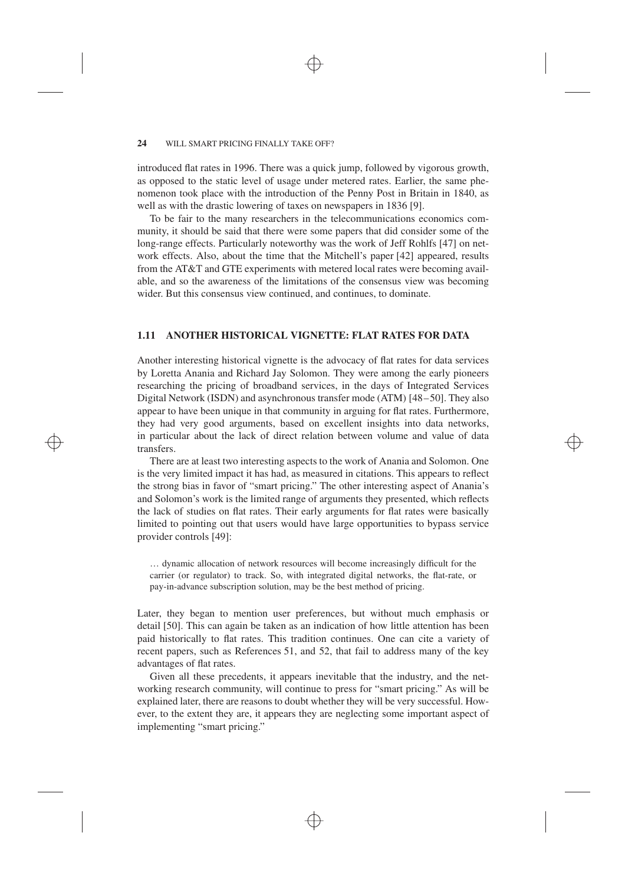introduced flat rates in 1996. There was a quick jump, followed by vigorous growth, as opposed to the static level of usage under metered rates. Earlier, the same phenomenon took place with the introduction of the Penny Post in Britain in 1840, as well as with the drastic lowering of taxes on newspapers in 1836 [9].

To be fair to the many researchers in the telecommunications economics community, it should be said that there were some papers that did consider some of the long-range effects. Particularly noteworthy was the work of Jeff Rohlfs [47] on network effects. Also, about the time that the Mitchell's paper [42] appeared, results from the AT&T and GTE experiments with metered local rates were becoming available, and so the awareness of the limitations of the consensus view was becoming wider. But this consensus view continued, and continues, to dominate.

## **1.11 ANOTHER HISTORICAL VIGNETTE: FLAT RATES FOR DATA**

Another interesting historical vignette is the advocacy of flat rates for data services by Loretta Anania and Richard Jay Solomon. They were among the early pioneers researching the pricing of broadband services, in the days of Integrated Services Digital Network (ISDN) and asynchronous transfer mode (ATM) [48–50]. They also appear to have been unique in that community in arguing for flat rates. Furthermore, they had very good arguments, based on excellent insights into data networks, in particular about the lack of direct relation between volume and value of data transfers.

There are at least two interesting aspects to the work of Anania and Solomon. One is the very limited impact it has had, as measured in citations. This appears to reflect the strong bias in favor of "smart pricing." The other interesting aspect of Anania's and Solomon's work is the limited range of arguments they presented, which reflects the lack of studies on flat rates. Their early arguments for flat rates were basically limited to pointing out that users would have large opportunities to bypass service provider controls [49]:

… dynamic allocation of network resources will become increasingly difficult for the carrier (or regulator) to track. So, with integrated digital networks, the flat-rate, or pay-in-advance subscription solution, may be the best method of pricing.

Later, they began to mention user preferences, but without much emphasis or detail [50]. This can again be taken as an indication of how little attention has been paid historically to flat rates. This tradition continues. One can cite a variety of recent papers, such as References 51, and 52, that fail to address many of the key advantages of flat rates.

Given all these precedents, it appears inevitable that the industry, and the networking research community, will continue to press for "smart pricing." As will be explained later, there are reasons to doubt whether they will be very successful. However, to the extent they are, it appears they are neglecting some important aspect of implementing "smart pricing."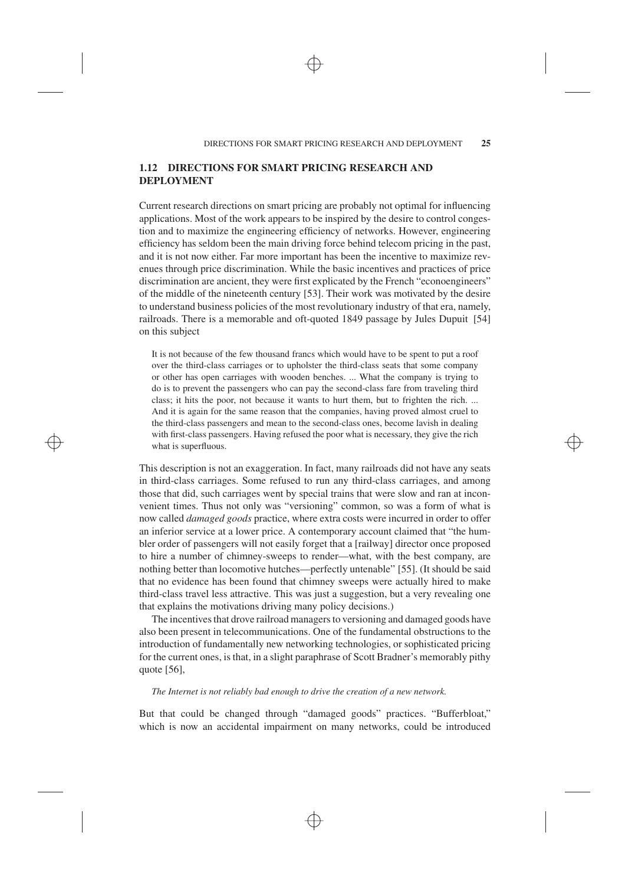# **1.12 DIRECTIONS FOR SMART PRICING RESEARCH AND DEPLOYMENT**

Current research directions on smart pricing are probably not optimal for influencing applications. Most of the work appears to be inspired by the desire to control congestion and to maximize the engineering efficiency of networks. However, engineering efficiency has seldom been the main driving force behind telecom pricing in the past, and it is not now either. Far more important has been the incentive to maximize revenues through price discrimination. While the basic incentives and practices of price discrimination are ancient, they were first explicated by the French "econoengineers" of the middle of the nineteenth century [53]. Their work was motivated by the desire to understand business policies of the most revolutionary industry of that era, namely, railroads. There is a memorable and oft-quoted 1849 passage by Jules Dupuit [54] on this subject

It is not because of the few thousand francs which would have to be spent to put a roof over the third-class carriages or to upholster the third-class seats that some company or other has open carriages with wooden benches. ... What the company is trying to do is to prevent the passengers who can pay the second-class fare from traveling third class; it hits the poor, not because it wants to hurt them, but to frighten the rich. ... And it is again for the same reason that the companies, having proved almost cruel to the third-class passengers and mean to the second-class ones, become lavish in dealing with first-class passengers. Having refused the poor what is necessary, they give the rich what is superfluous.

This description is not an exaggeration. In fact, many railroads did not have any seats in third-class carriages. Some refused to run any third-class carriages, and among those that did, such carriages went by special trains that were slow and ran at inconvenient times. Thus not only was "versioning" common, so was a form of what is now called *damaged goods* practice, where extra costs were incurred in order to offer an inferior service at a lower price. A contemporary account claimed that "the humbler order of passengers will not easily forget that a [railway] director once proposed to hire a number of chimney-sweeps to render—what, with the best company, are nothing better than locomotive hutches—perfectly untenable" [55]. (It should be said that no evidence has been found that chimney sweeps were actually hired to make third-class travel less attractive. This was just a suggestion, but a very revealing one that explains the motivations driving many policy decisions.)

The incentives that drove railroad managers to versioning and damaged goods have also been present in telecommunications. One of the fundamental obstructions to the introduction of fundamentally new networking technologies, or sophisticated pricing for the current ones, is that, in a slight paraphrase of Scott Bradner's memorably pithy quote [56],

*The Internet is not reliably bad enough to drive the creation of a new network.*

But that could be changed through "damaged goods" practices. "Bufferbloat," which is now an accidental impairment on many networks, could be introduced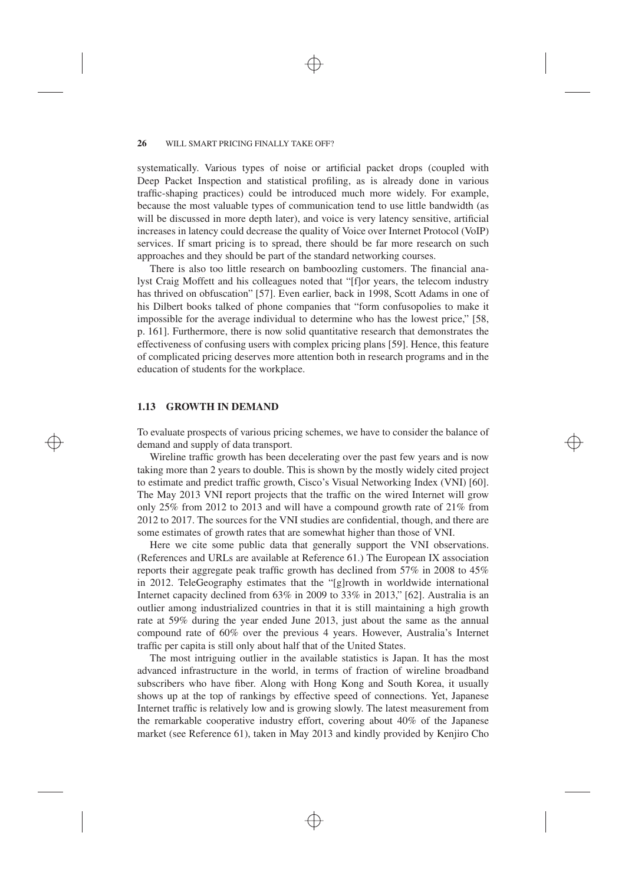systematically. Various types of noise or artificial packet drops (coupled with Deep Packet Inspection and statistical profiling, as is already done in various traffic-shaping practices) could be introduced much more widely. For example, because the most valuable types of communication tend to use little bandwidth (as will be discussed in more depth later), and voice is very latency sensitive, artificial increases in latency could decrease the quality of Voice over Internet Protocol (VoIP) services. If smart pricing is to spread, there should be far more research on such approaches and they should be part of the standard networking courses.

There is also too little research on bamboozling customers. The financial analyst Craig Moffett and his colleagues noted that "[f]or years, the telecom industry has thrived on obfuscation" [57]. Even earlier, back in 1998, Scott Adams in one of his Dilbert books talked of phone companies that "form confusopolies to make it impossible for the average individual to determine who has the lowest price," [58, p. 161]. Furthermore, there is now solid quantitative research that demonstrates the effectiveness of confusing users with complex pricing plans [59]. Hence, this feature of complicated pricing deserves more attention both in research programs and in the education of students for the workplace.

## **1.13 GROWTH IN DEMAND**

To evaluate prospects of various pricing schemes, we have to consider the balance of demand and supply of data transport.

Wireline traffic growth has been decelerating over the past few years and is now taking more than 2 years to double. This is shown by the mostly widely cited project to estimate and predict traffic growth, Cisco's Visual Networking Index (VNI) [60]. The May 2013 VNI report projects that the traffic on the wired Internet will grow only 25% from 2012 to 2013 and will have a compound growth rate of 21% from 2012 to 2017. The sources for the VNI studies are confidential, though, and there are some estimates of growth rates that are somewhat higher than those of VNI.

Here we cite some public data that generally support the VNI observations. (References and URLs are available at Reference 61.) The European IX association reports their aggregate peak traffic growth has declined from 57% in 2008 to 45% in 2012. TeleGeography estimates that the "[g]rowth in worldwide international Internet capacity declined from 63% in 2009 to 33% in 2013," [62]. Australia is an outlier among industrialized countries in that it is still maintaining a high growth rate at 59% during the year ended June 2013, just about the same as the annual compound rate of 60% over the previous 4 years. However, Australia's Internet traffic per capita is still only about half that of the United States.

The most intriguing outlier in the available statistics is Japan. It has the most advanced infrastructure in the world, in terms of fraction of wireline broadband subscribers who have fiber. Along with Hong Kong and South Korea, it usually shows up at the top of rankings by effective speed of connections. Yet, Japanese Internet traffic is relatively low and is growing slowly. The latest measurement from the remarkable cooperative industry effort, covering about 40% of the Japanese market (see Reference 61), taken in May 2013 and kindly provided by Kenjiro Cho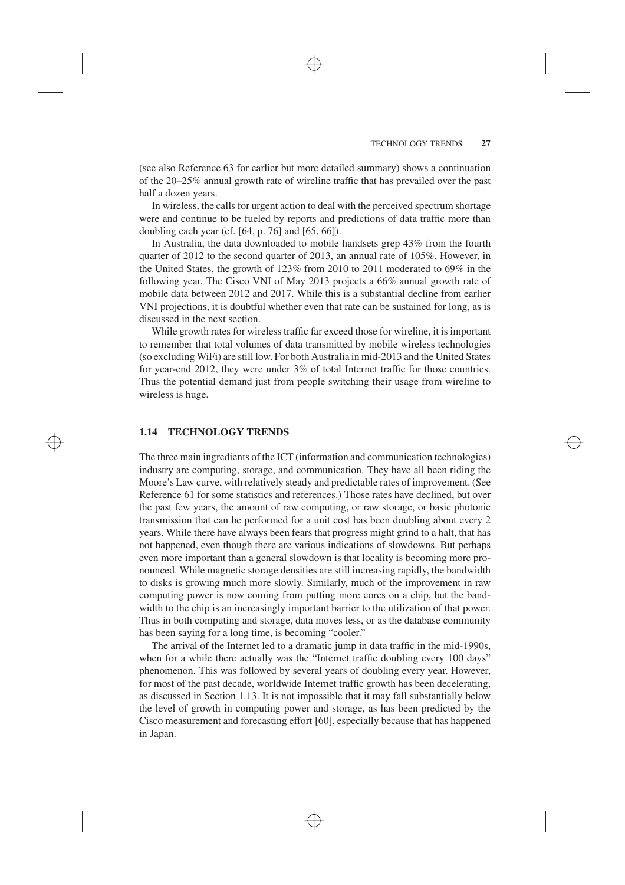(see also Reference 63 for earlier but more detailed summary) shows a continuation of the 20–25% annual growth rate of wireline traffic that has prevailed over the past half a dozen years.

In wireless, the calls for urgent action to deal with the perceived spectrum shortage were and continue to be fueled by reports and predictions of data traffic more than doubling each year (cf. [64, p. 76] and [65, 66]).

In Australia, the data downloaded to mobile handsets grep 43% from the fourth quarter of 2012 to the second quarter of 2013, an annual rate of 105%. However, in the United States, the growth of 123% from 2010 to 2011 moderated to 69% in the following year. The Cisco VNI of May 2013 projects a 66% annual growth rate of mobile data between 2012 and 2017. While this is a substantial decline from earlier VNI projections, it is doubtful whether even that rate can be sustained for long, as is discussed in the next section.

While growth rates for wireless traffic far exceed those for wireline, it is important to remember that total volumes of data transmitted by mobile wireless technologies (so excluding WiFi) are still low. For both Australia in mid-2013 and the United States for year-end 2012, they were under 3% of total Internet traffic for those countries. Thus the potential demand just from people switching their usage from wireline to wireless is huge.

## **1.14 TECHNOLOGY TRENDS**

The three main ingredients of the ICT (information and communication technologies) industry are computing, storage, and communication. They have all been riding the Moore's Law curve, with relatively steady and predictable rates of improvement. (See Reference 61 for some statistics and references.) Those rates have declined, but over the past few years, the amount of raw computing, or raw storage, or basic photonic transmission that can be performed for a unit cost has been doubling about every 2 years. While there have always been fears that progress might grind to a halt, that has not happened, even though there are various indications of slowdowns. But perhaps even more important than a general slowdown is that locality is becoming more pronounced. While magnetic storage densities are still increasing rapidly, the bandwidth to disks is growing much more slowly. Similarly, much of the improvement in raw computing power is now coming from putting more cores on a chip, but the bandwidth to the chip is an increasingly important barrier to the utilization of that power. Thus in both computing and storage, data moves less, or as the database community has been saying for a long time, is becoming "cooler."

The arrival of the Internet led to a dramatic jump in data traffic in the mid-1990s, when for a while there actually was the "Internet traffic doubling every 100 days" phenomenon. This was followed by several years of doubling every year. However, for most of the past decade, worldwide Internet traffic growth has been decelerating, as discussed in Section 1.13. It is not impossible that it may fall substantially below the level of growth in computing power and storage, as has been predicted by the Cisco measurement and forecasting effort [60], especially because that has happened in Japan.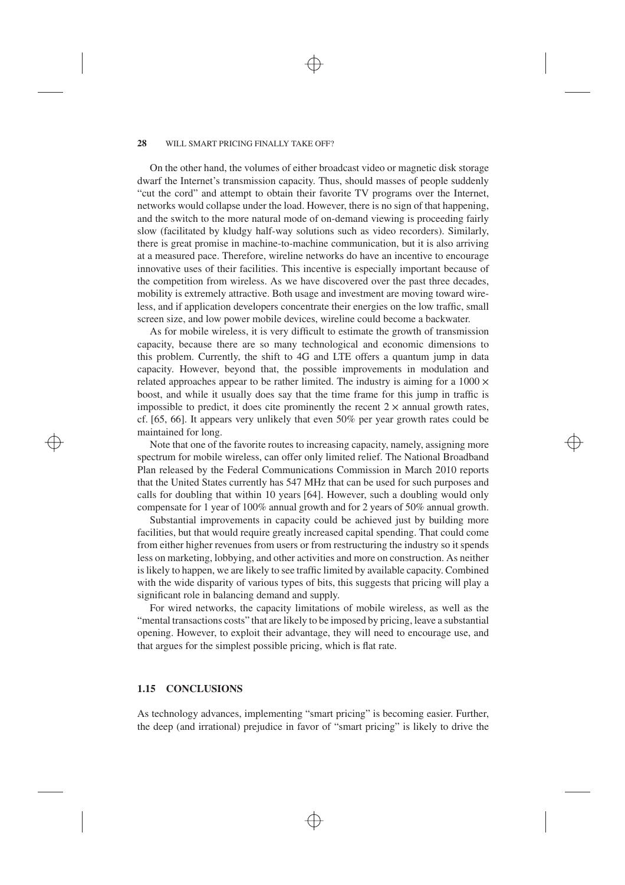On the other hand, the volumes of either broadcast video or magnetic disk storage dwarf the Internet's transmission capacity. Thus, should masses of people suddenly "cut the cord" and attempt to obtain their favorite TV programs over the Internet, networks would collapse under the load. However, there is no sign of that happening, and the switch to the more natural mode of on-demand viewing is proceeding fairly slow (facilitated by kludgy half-way solutions such as video recorders). Similarly, there is great promise in machine-to-machine communication, but it is also arriving at a measured pace. Therefore, wireline networks do have an incentive to encourage innovative uses of their facilities. This incentive is especially important because of the competition from wireless. As we have discovered over the past three decades, mobility is extremely attractive. Both usage and investment are moving toward wireless, and if application developers concentrate their energies on the low traffic, small screen size, and low power mobile devices, wireline could become a backwater.

As for mobile wireless, it is very difficult to estimate the growth of transmission capacity, because there are so many technological and economic dimensions to this problem. Currently, the shift to 4G and LTE offers a quantum jump in data capacity. However, beyond that, the possible improvements in modulation and related approaches appear to be rather limited. The industry is aiming for a  $1000 \times$ boost, and while it usually does say that the time frame for this jump in traffic is impossible to predict, it does cite prominently the recent  $2 \times$  annual growth rates, cf. [65, 66]. It appears very unlikely that even 50% per year growth rates could be maintained for long.

Note that one of the favorite routes to increasing capacity, namely, assigning more spectrum for mobile wireless, can offer only limited relief. The National Broadband Plan released by the Federal Communications Commission in March 2010 reports that the United States currently has 547 MHz that can be used for such purposes and calls for doubling that within 10 years [64]. However, such a doubling would only compensate for 1 year of 100% annual growth and for 2 years of 50% annual growth.

Substantial improvements in capacity could be achieved just by building more facilities, but that would require greatly increased capital spending. That could come from either higher revenues from users or from restructuring the industry so it spends less on marketing, lobbying, and other activities and more on construction. As neither is likely to happen, we are likely to see traffic limited by available capacity. Combined with the wide disparity of various types of bits, this suggests that pricing will play a significant role in balancing demand and supply.

For wired networks, the capacity limitations of mobile wireless, as well as the "mental transactions costs" that are likely to be imposed by pricing, leave a substantial opening. However, to exploit their advantage, they will need to encourage use, and that argues for the simplest possible pricing, which is flat rate.

## **1.15 CONCLUSIONS**

As technology advances, implementing "smart pricing" is becoming easier. Further, the deep (and irrational) prejudice in favor of "smart pricing" is likely to drive the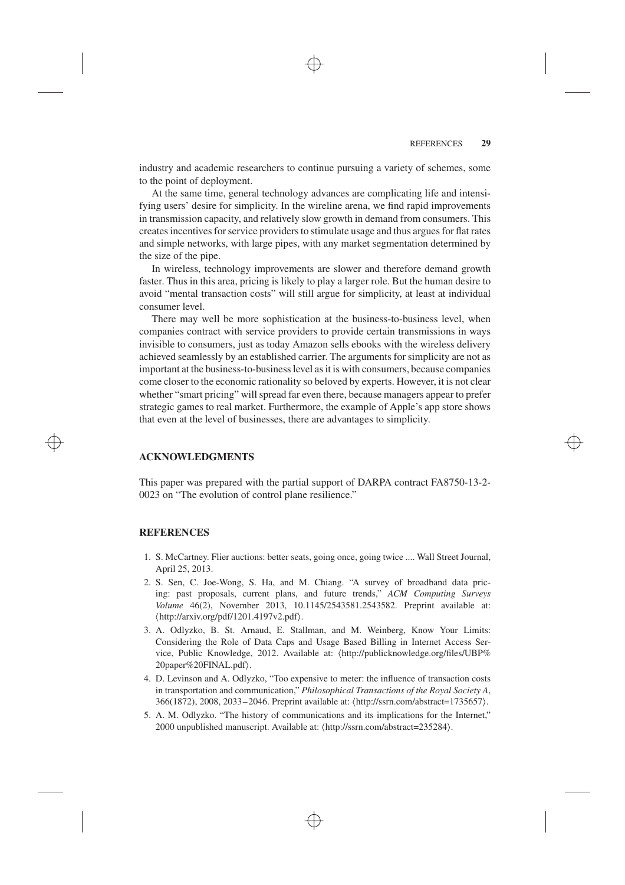industry and academic researchers to continue pursuing a variety of schemes, some to the point of deployment.

At the same time, general technology advances are complicating life and intensifying users' desire for simplicity. In the wireline arena, we find rapid improvements in transmission capacity, and relatively slow growth in demand from consumers. This creates incentives for service providers to stimulate usage and thus argues for flat rates and simple networks, with large pipes, with any market segmentation determined by the size of the pipe.

In wireless, technology improvements are slower and therefore demand growth faster. Thus in this area, pricing is likely to play a larger role. But the human desire to avoid "mental transaction costs" will still argue for simplicity, at least at individual consumer level.

There may well be more sophistication at the business-to-business level, when companies contract with service providers to provide certain transmissions in ways invisible to consumers, just as today Amazon sells ebooks with the wireless delivery achieved seamlessly by an established carrier. The arguments for simplicity are not as important at the business-to-business level as it is with consumers, because companies come closer to the economic rationality so beloved by experts. However, it is not clear whether "smart pricing" will spread far even there, because managers appear to prefer strategic games to real market. Furthermore, the example of Apple's app store shows that even at the level of businesses, there are advantages to simplicity.

## **ACKNOWLEDGMENTS**

This paper was prepared with the partial support of DARPA contract FA8750-13-2- 0023 on "The evolution of control plane resilience."

### **REFERENCES**

- 1. S. McCartney. Flier auctions: better seats, going once, going twice .... Wall Street Journal, April 25, 2013.
- 2. S. Sen, C. Joe-Wong, S. Ha, and M. Chiang. "A survey of broadband data pricing: past proposals, current plans, and future trends," *ACM Computing Surveys Volume* 46(2), November 2013, 10.1145/2543581.2543582. Preprint available at: ⟨http://arxiv.org/pdf/1201.4197v2.pdf⟩.
- 3. A. Odlyzko, B. St. Arnaud, E. Stallman, and M. Weinberg, Know Your Limits: Considering the Role of Data Caps and Usage Based Billing in Internet Access Service, Public Knowledge, 2012. Available at: ⟨http://publicknowledge.org/files/UBP% 20paper%20FINAL.pdf⟩.
- 4. D. Levinson and A. Odlyzko, "Too expensive to meter: the influence of transaction costs in transportation and communication," *Philosophical Transactions of the Royal Society A*, 366(1872), 2008, 2033–2046. Preprint available at: ⟨http://ssrn.com/abstract=1735657⟩.
- 5. A. M. Odlyzko. "The history of communications and its implications for the Internet," 2000 unpublished manuscript. Available at: ⟨http://ssrn.com/abstract=235284⟩.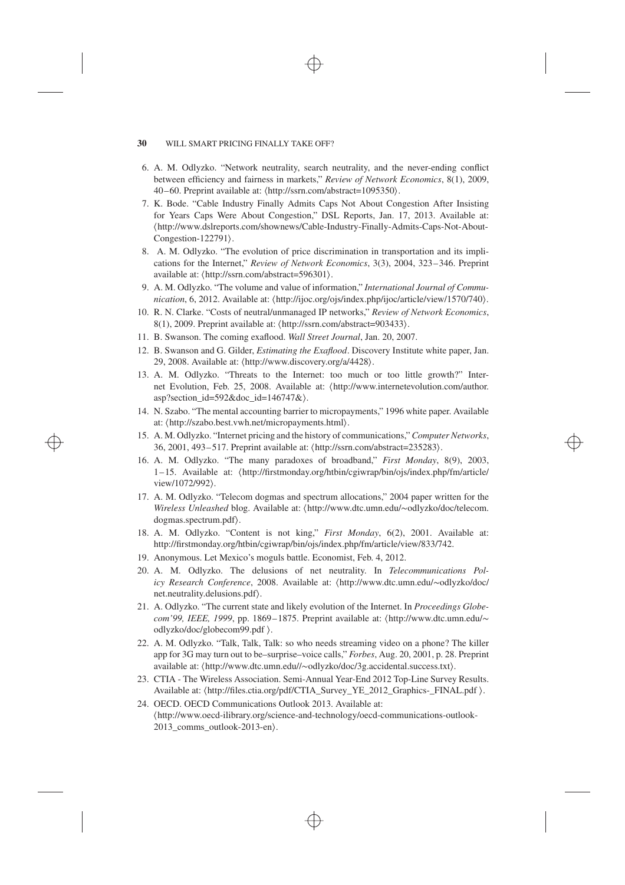- 6. A. M. Odlyzko. "Network neutrality, search neutrality, and the never-ending conflict between efficiency and fairness in markets," *Review of Network Economics*, 8(1), 2009, 40–60. Preprint available at: ⟨http://ssrn.com/abstract=1095350⟩.
- 7. K. Bode. "Cable Industry Finally Admits Caps Not About Congestion After Insisting for Years Caps Were About Congestion," DSL Reports, Jan. 17, 2013. Available at: ⟨http://www.dslreports.com/shownews/Cable-Industry-Finally-Admits-Caps-Not-About-Congestion-122791⟩.
- 8. A. M. Odlyzko. "The evolution of price discrimination in transportation and its implications for the Internet," *Review of Network Economics*, 3(3), 2004, 323–346. Preprint available at: ⟨http://ssrn.com/abstract=596301⟩.
- 9. A. M. Odlyzko. "The volume and value of information," *International Journal of Communication*, 6, 2012. Available at: ⟨http://ijoc.org/ojs/index.php/ijoc/article/view/1570/740⟩.
- 10. R. N. Clarke. "Costs of neutral/unmanaged IP networks," *Review of Network Economics*, 8(1), 2009. Preprint available at: ⟨http://ssrn.com/abstract=903433⟩.
- 11. B. Swanson. The coming exaflood. *Wall Street Journal*, Jan. 20, 2007.
- 12. B. Swanson and G. Gilder, *Estimating the Exaflood*. Discovery Institute white paper, Jan. 29, 2008. Available at: ⟨http://www.discovery.org/a/4428⟩.
- 13. A. M. Odlyzko. "Threats to the Internet: too much or too little growth?" Internet Evolution, Feb. 25, 2008. Available at: ⟨http://www.internetevolution.com/author. asp?section\_id=592&doc\_id=146747& $\rangle$ .
- 14. N. Szabo. "The mental accounting barrier to micropayments," 1996 white paper. Available at: ⟨http://szabo.best.vwh.net/micropayments.html⟩.
- 15. A. M. Odlyzko. "Internet pricing and the history of communications," *Computer Networks*, 36, 2001, 493–517. Preprint available at: ⟨http://ssrn.com/abstract=235283⟩*.*
- 16. A. M. Odlyzko. "The many paradoxes of broadband," *First Monday*, 8(9), 2003, 1–15. Available at: ⟨http://firstmonday.org/htbin/cgiwrap/bin/ojs/index.php/fm/article/ view/1072/992⟩.
- 17. A. M. Odlyzko. "Telecom dogmas and spectrum allocations," 2004 paper written for the *Wireless Unleashed* blog. Available at: ⟨http://www.dtc.umn.edu/∼odlyzko/doc/telecom. dogmas.spectrum.pdf⟩.
- 18. A. M. Odlyzko. "Content is not king," *First Monday*, 6(2), 2001. Available at: http://firstmonday.org/htbin/cgiwrap/bin/ojs/index.php/fm/article/view/833/742.
- 19. Anonymous. Let Mexico's moguls battle. Economist, Feb. 4, 2012.
- 20. A. M. Odlyzko. The delusions of net neutrality. In *Telecommunications Policy Research Conference*, 2008. Available at: ⟨http://www.dtc.umn.edu/∼odlyzko/doc/ net.neutrality.delusions.pdf⟩.
- 21. A. Odlyzko. "The current state and likely evolution of the Internet. In *Proceedings Globecom'99, IEEE, 1999*, pp. 1869–1875. Preprint available at: ⟨http://www.dtc.umn.edu/∼ odlyzko/doc/globecom99.pdf ⟩.
- 22. A. M. Odlyzko. "Talk, Talk, Talk: so who needs streaming video on a phone? The killer app for 3G may turn out to be–surprise–voice calls," *Forbes*, Aug. 20, 2001, p. 28. Preprint available at: ⟨http://www.dtc.umn.edu//∼odlyzko/doc/3g.accidental.success.txt⟩.
- 23. CTIA The Wireless Association. Semi-Annual Year-End 2012 Top-Line Survey Results. Available at: ⟨http://files.ctia.org/pdf/CTIA\_Survey\_YE\_2012\_Graphics-\_FINAL.pdf ⟩.
- 24. OECD. OECD Communications Outlook 2013. Available at: ⟨http://www.oecd-ilibrary.org/science-and-technology/oecd-communications-outlook-2013\_comms\_outlook-2013-en⟩.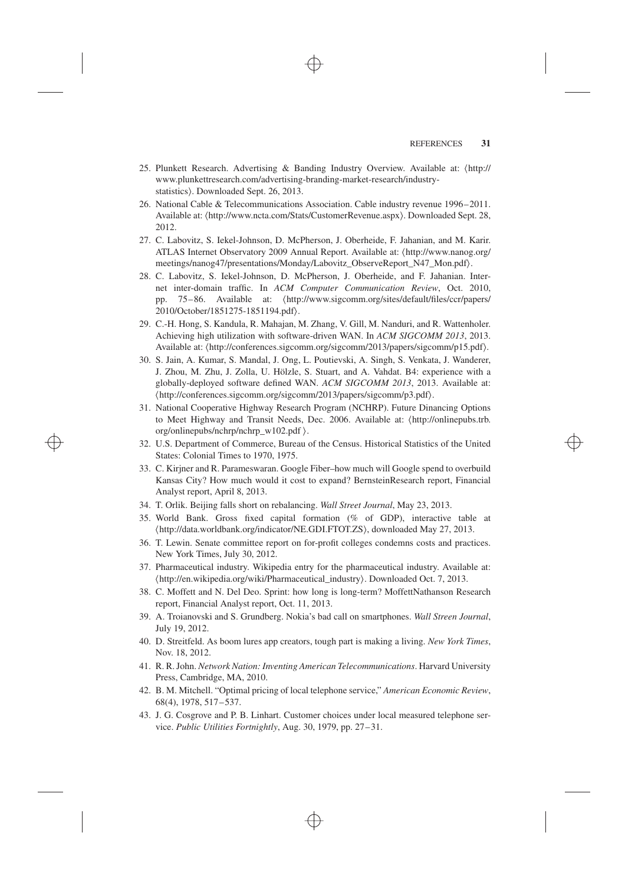- 25. Plunkett Research. Advertising & Banding Industry Overview. Available at: ⟨http:// www.plunkettresearch.com/advertising-branding-market-research/industrystatistics⟩. Downloaded Sept. 26, 2013.
- 26. National Cable & Telecommunications Association. Cable industry revenue 1996–2011. Available at: ⟨http://www.ncta.com/Stats/CustomerRevenue.aspx⟩. Downloaded Sept. 28, 2012.
- 27. C. Labovitz, S. Iekel-Johnson, D. McPherson, J. Oberheide, F. Jahanian, and M. Karir. ATLAS Internet Observatory 2009 Annual Report. Available at: ⟨http://www.nanog.org/ meetings/nanog47/presentations/Monday/Labovitz\_ObserveReport\_N47\_Mon.pdf⟩.
- 28. C. Labovitz, S. Iekel-Johnson, D. McPherson, J. Oberheide, and F. Jahanian. Internet inter-domain traffic. In *ACM Computer Communication Review*, Oct. 2010, pp. 75–86. Available at: ⟨http://www.sigcomm.org/sites/default/files/ccr/papers/ 2010/October/1851275-1851194.pdf⟩.
- 29. C.-H. Hong, S. Kandula, R. Mahajan, M. Zhang, V. Gill, M. Nanduri, and R. Wattenholer. Achieving high utilization with software-driven WAN. In *ACM SIGCOMM 2013*, 2013. Available at: ⟨http://conferences.sigcomm.org/sigcomm/2013/papers/sigcomm/p15.pdf⟩.
- 30. S. Jain, A. Kumar, S. Mandal, J. Ong, L. Poutievski, A. Singh, S. Venkata, J. Wanderer, J. Zhou, M. Zhu, J. Zolla, U. Hölzle, S. Stuart, and A. Vahdat. B4: experience with a globally-deployed software defined WAN. *ACM SIGCOMM 2013*, 2013. Available at: ⟨http://conferences.sigcomm.org/sigcomm/2013/papers/sigcomm/p3.pdf⟩.
- 31. National Cooperative Highway Research Program (NCHRP). Future Dinancing Options to Meet Highway and Transit Needs, Dec. 2006. Available at: ⟨http://onlinepubs.trb. org/onlinepubs/nchrp/nchrp\_w102.pdf ⟩.
- 32. U.S. Department of Commerce, Bureau of the Census. Historical Statistics of the United States: Colonial Times to 1970, 1975.
- 33. C. Kirjner and R. Parameswaran. Google Fiber–how much will Google spend to overbuild Kansas City? How much would it cost to expand? BernsteinResearch report, Financial Analyst report, April 8, 2013.
- 34. T. Orlik. Beijing falls short on rebalancing. *Wall Street Journal*, May 23, 2013.
- 35. World Bank. Gross fixed capital formation (% of GDP), interactive table at ⟨http://data.worldbank.org/indicator/NE.GDI.FTOT.ZS⟩, downloaded May 27, 2013.
- 36. T. Lewin. Senate committee report on for-profit colleges condemns costs and practices. New York Times, July 30, 2012.
- 37. Pharmaceutical industry. Wikipedia entry for the pharmaceutical industry. Available at: ⟨http://en.wikipedia.org/wiki/Pharmaceutical\_industry⟩. Downloaded Oct. 7, 2013.
- 38. C. Moffett and N. Del Deo. Sprint: how long is long-term? MoffettNathanson Research report, Financial Analyst report, Oct. 11, 2013.
- 39. A. Troianovski and S. Grundberg. Nokia's bad call on smartphones. *Wall Streen Journal*, July 19, 2012.
- 40. D. Streitfeld. As boom lures app creators, tough part is making a living. *New York Times*, Nov. 18, 2012.
- 41. R. R. John. *Network Nation: Inventing American Telecommunications*. Harvard University Press, Cambridge, MA, 2010.
- 42. B. M. Mitchell. "Optimal pricing of local telephone service," *American Economic Review*, 68(4), 1978, 517–537.
- 43. J. G. Cosgrove and P. B. Linhart. Customer choices under local measured telephone service. *Public Utilities Fortnightly*, Aug. 30, 1979, pp. 27–31.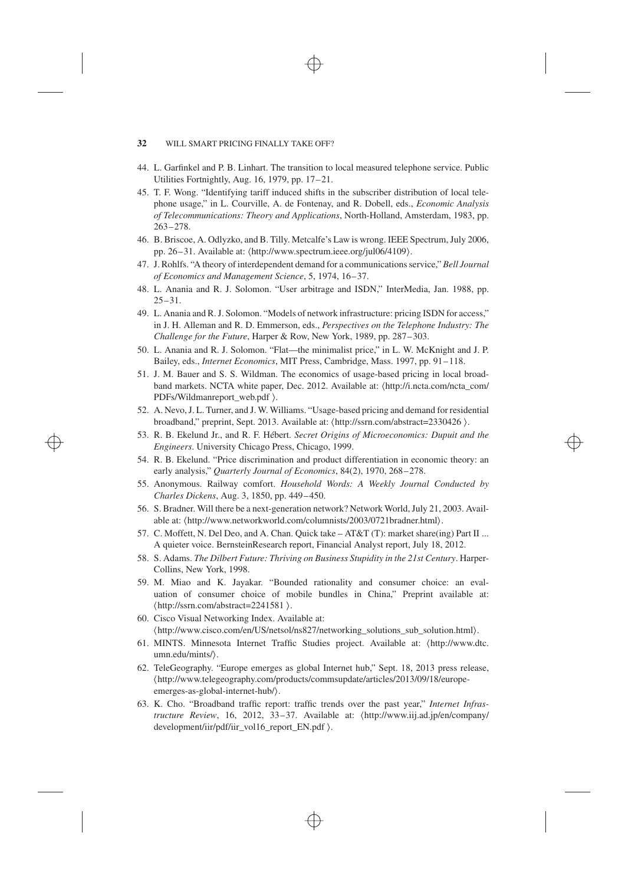- 44. L. Garfinkel and P. B. Linhart. The transition to local measured telephone service. Public Utilities Fortnightly, Aug. 16, 1979, pp. 17–21.
- 45. T. F. Wong. "Identifying tariff induced shifts in the subscriber distribution of local telephone usage," in L. Courville, A. de Fontenay, and R. Dobell, eds., *Economic Analysis of Telecommunications: Theory and Applications*, North-Holland, Amsterdam, 1983, pp. 263–278.
- 46. B. Briscoe, A. Odlyzko, and B. Tilly. Metcalfe's Law is wrong. IEEE Spectrum, July 2006, pp. 26–31. Available at: ⟨http://www.spectrum.ieee.org/jul06/4109⟩.
- 47. J. Rohlfs. "A theory of interdependent demand for a communications service," *Bell Journal of Economics and Management Science*, 5, 1974, 16–37.
- 48. L. Anania and R. J. Solomon. "User arbitrage and ISDN," InterMedia, Jan. 1988, pp.  $25 - 31$ .
- 49. L. Anania and R. J. Solomon. "Models of network infrastructure: pricing ISDN for access," in J. H. Alleman and R. D. Emmerson, eds., *Perspectives on the Telephone Industry: The Challenge for the Future*, Harper & Row, New York, 1989, pp. 287–303.
- 50. L. Anania and R. J. Solomon. "Flat—the minimalist price," in L. W. McKnight and J. P. Bailey, eds., *Internet Economics*, MIT Press, Cambridge, Mass. 1997, pp. 91–118.
- 51. J. M. Bauer and S. S. Wildman. The economics of usage-based pricing in local broadband markets. NCTA white paper, Dec. 2012. Available at:  $\langle \text{http://i.neta.com/ncta.com/} \rangle$ PDFs/Wildmanreport\_web.pdf ⟩.
- 52. A. Nevo, J. L. Turner, and J. W. Williams. "Usage-based pricing and demand for residential broadband," preprint, Sept. 2013. Available at: ⟨http://ssrn.com/abstract=2330426 ⟩.
- 53. R. B. Ekelund Jr., and R. F. Hébert. *Secret Origins of Microeconomics: Dupuit and the Engineers*. University Chicago Press, Chicago, 1999.
- 54. R. B. Ekelund. "Price discrimination and product differentiation in economic theory: an early analysis," *Quarterly Journal of Economics*, 84(2), 1970, 268–278.
- 55. Anonymous. Railway comfort. *Household Words: A Weekly Journal Conducted by Charles Dickens*, Aug. 3, 1850, pp. 449–450.
- 56. S. Bradner. Will there be a next-generation network? Network World, July 21, 2003. Available at: ⟨http://www.networkworld.com/columnists/2003/0721bradner.html⟩.
- 57. C. Moffett, N. Del Deo, and A. Chan. Quick take AT&T (T): market share(ing) Part II ... A quieter voice. BernsteinResearch report, Financial Analyst report, July 18, 2012.
- 58. S. Adams. *The Dilbert Future: Thriving on Business Stupidity in the 21st Century*. Harper-Collins, New York, 1998.
- 59. M. Miao and K. Jayakar. "Bounded rationality and consumer choice: an evaluation of consumer choice of mobile bundles in China," Preprint available at: ⟨http://ssrn.com/abstract=2241581 ⟩.
- 60. Cisco Visual Networking Index. Available at: ⟨http://www.cisco.com/en/US/netsol/ns827/networking\_solutions\_sub\_solution.html⟩.
- 61. MINTS. Minnesota Internet Traffic Studies project. Available at: ⟨http://www.dtc. umn.edu/mints/⟩.
- 62. TeleGeography. "Europe emerges as global Internet hub," Sept. 18, 2013 press release, ⟨http://www.telegeography.com/products/commsupdate/articles/2013/09/18/europeemerges-as-global-internet-hub/⟩.
- 63. K. Cho. "Broadband traffic report: traffic trends over the past year," *Internet Infrastructure Review*, 16, 2012, 33–37. Available at: ⟨http://www.iij.ad.jp/en/company/ development/iir/pdf/iir\_vol16\_report\_EN.pdf ⟩.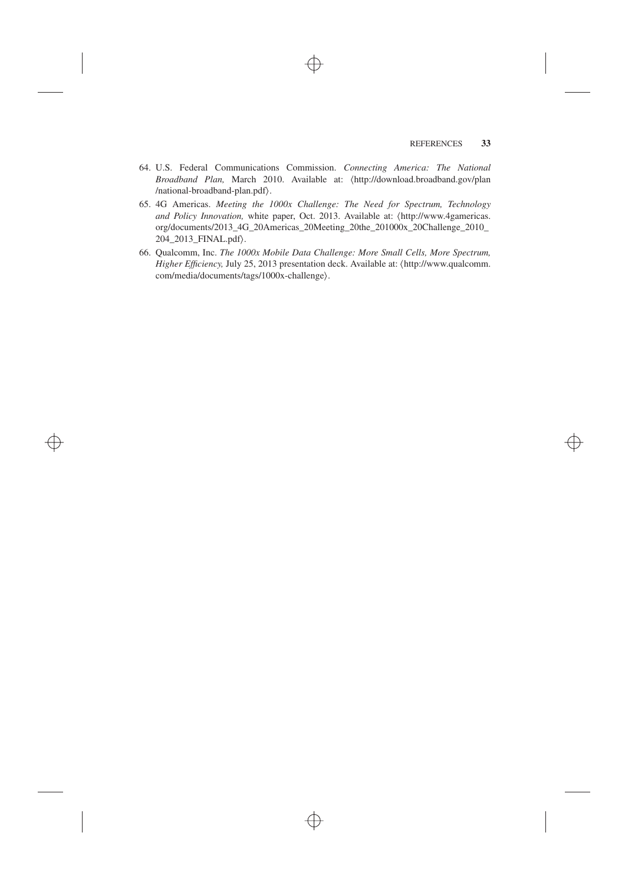- 64. U.S. Federal Communications Commission. *Connecting America: The National Broadband Plan,* March 2010. Available at: ⟨http://download.broadband.gov/plan /national-broadband-plan.pdf⟩.
- 65. 4G Americas. *Meeting the 1000x Challenge: The Need for Spectrum, Technology and Policy Innovation,* white paper, Oct. 2013. Available at: ⟨http://www.4gamericas. org/documents/2013\_4G\_20Americas\_20Meeting\_20the\_201000x\_20Challenge\_2010\_ 204\_2013\_FINAL.pdf⟩.
- 66. Qualcomm, Inc. *The 1000x Mobile Data Challenge: More Small Cells, More Spectrum, Higher Efficiency,* July 25, 2013 presentation deck. Available at: ⟨http://www.qualcomm. com/media/documents/tags/1000x-challenge⟩.